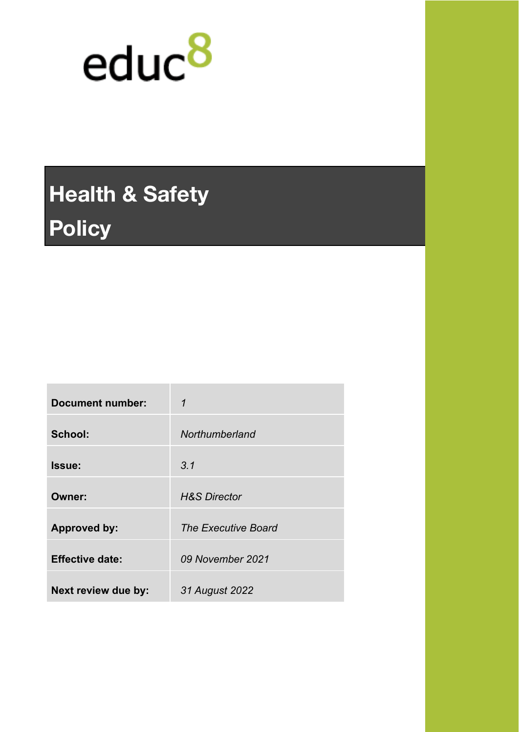

# **Health & Safety Policy**

| <b>Document number:</b> | 1                          |
|-------------------------|----------------------------|
| School:                 | Northumberland             |
| Issue:                  | 3.1                        |
| Owner:                  | <b>H&amp;S Director</b>    |
| <b>Approved by:</b>     | <b>The Executive Board</b> |
| <b>Effective date:</b>  | 09 November 2021           |
| Next review due by:     | 31 August 2022             |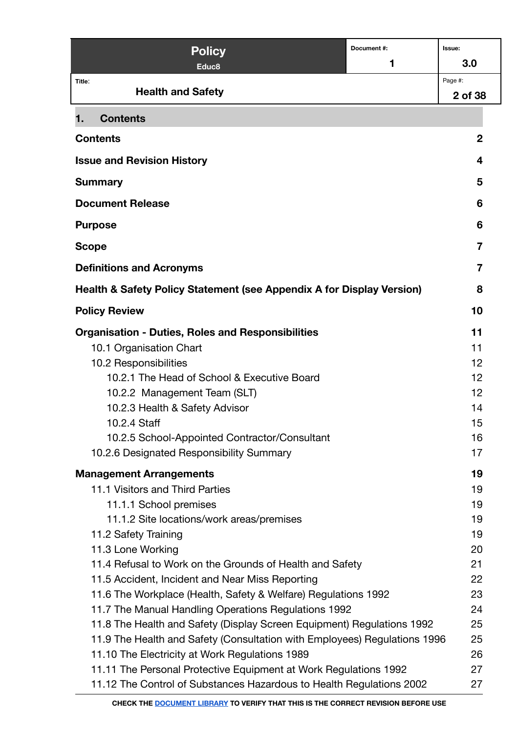| <b>Policy</b>                                                             | Document#: | Issue:         |
|---------------------------------------------------------------------------|------------|----------------|
| Educ8                                                                     | 1          | 3.0            |
| Title:                                                                    |            | Page #:        |
| <b>Health and Safety</b>                                                  |            | 2 of 38        |
| <b>Contents</b><br>1.                                                     |            |                |
| <b>Contents</b>                                                           |            | $\mathbf 2$    |
| <b>Issue and Revision History</b>                                         |            | 4              |
| <b>Summary</b>                                                            |            | 5              |
| <b>Document Release</b>                                                   |            | 6              |
| <b>Purpose</b>                                                            |            | 6              |
| <b>Scope</b>                                                              |            | $\overline{7}$ |
| <b>Definitions and Acronyms</b>                                           |            | $\overline{7}$ |
| Health & Safety Policy Statement (see Appendix A for Display Version)     |            | 8              |
| <b>Policy Review</b>                                                      |            | 10             |
| <b>Organisation - Duties, Roles and Responsibilities</b>                  |            | 11             |
| 10.1 Organisation Chart                                                   |            | 11             |
| 10.2 Responsibilities                                                     |            | 12             |
| 10.2.1 The Head of School & Executive Board                               |            | 12             |
| 10.2.2 Management Team (SLT)                                              |            | 12             |
| 10.2.3 Health & Safety Advisor                                            |            | 14             |
| 10.2.4 Staff                                                              |            | 15             |
| 10.2.5 School-Appointed Contractor/Consultant                             |            | 16             |
| 10.2.6 Designated Responsibility Summary                                  |            | 17             |
| <b>Management Arrangements</b>                                            |            | 19             |
| 11.1 Visitors and Third Parties                                           |            | 19             |
| 11.1.1 School premises                                                    |            | 19             |
| 11.1.2 Site locations/work areas/premises                                 |            | 19             |
| 11.2 Safety Training                                                      |            | 19             |
| 11.3 Lone Working                                                         |            | 20             |
| 11.4 Refusal to Work on the Grounds of Health and Safety                  |            | 21             |
| 11.5 Accident, Incident and Near Miss Reporting                           |            | 22             |
| 11.6 The Workplace (Health, Safety & Welfare) Regulations 1992            |            | 23             |
| 11.7 The Manual Handling Operations Regulations 1992                      |            | 24             |
| 11.8 The Health and Safety (Display Screen Equipment) Regulations 1992    |            | 25             |
| 11.9 The Health and Safety (Consultation with Employees) Regulations 1996 |            | 25             |
| 11.10 The Electricity at Work Regulations 1989                            |            | 26             |
| 11.11 The Personal Protective Equipment at Work Regulations 1992          |            | 27             |
| 11.12 The Control of Substances Hazardous to Health Regulations 2002      |            | 27             |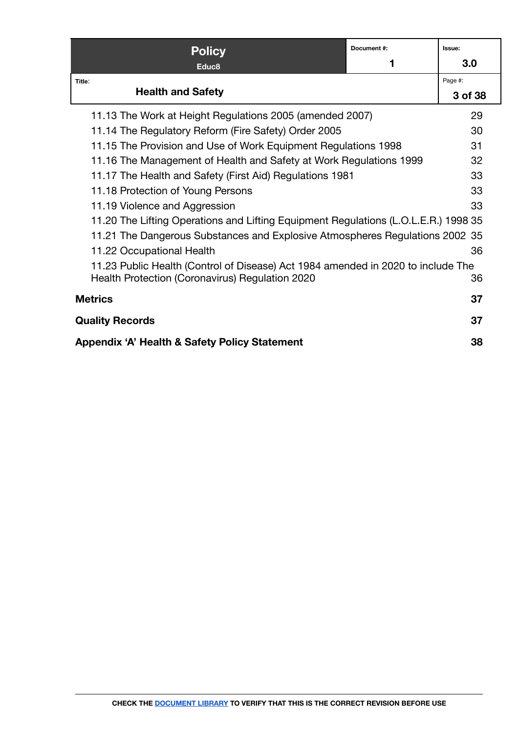| <b>Policy</b>                                                                       | Document#: | Issue:  |
|-------------------------------------------------------------------------------------|------------|---------|
| Educ <sub>8</sub>                                                                   |            | 3.0     |
| Title:                                                                              |            | Page #: |
| <b>Health and Safety</b>                                                            |            | 3 of 38 |
| 11.13 The Work at Height Regulations 2005 (amended 2007)                            |            | 29      |
| 11.14 The Regulatory Reform (Fire Safety) Order 2005                                |            | 30      |
| 11.15 The Provision and Use of Work Equipment Regulations 1998                      |            | 31      |
| 11.16 The Management of Health and Safety at Work Regulations 1999                  |            | 32      |
| 11.17 The Health and Safety (First Aid) Regulations 1981                            |            | 33      |
| 11.18 Protection of Young Persons                                                   |            | 33      |
| 11.19 Violence and Aggression                                                       |            | 33      |
| 11.20 The Lifting Operations and Lifting Equipment Regulations (L.O.L.E.R.) 1998 35 |            |         |
| 11.21 The Dangerous Substances and Explosive Atmospheres Regulations 2002 35        |            |         |
| 11.22 Occupational Health                                                           |            | 36      |
| 11.23 Public Health (Control of Disease) Act 1984 amended in 2020 to include The    |            |         |
| Health Protection (Coronavirus) Regulation 2020                                     |            | 36      |
| <b>Metrics</b>                                                                      |            | 37      |
| <b>Quality Records</b>                                                              |            | 37      |
| Appendix 'A' Health & Safety Policy Statement                                       |            | 38      |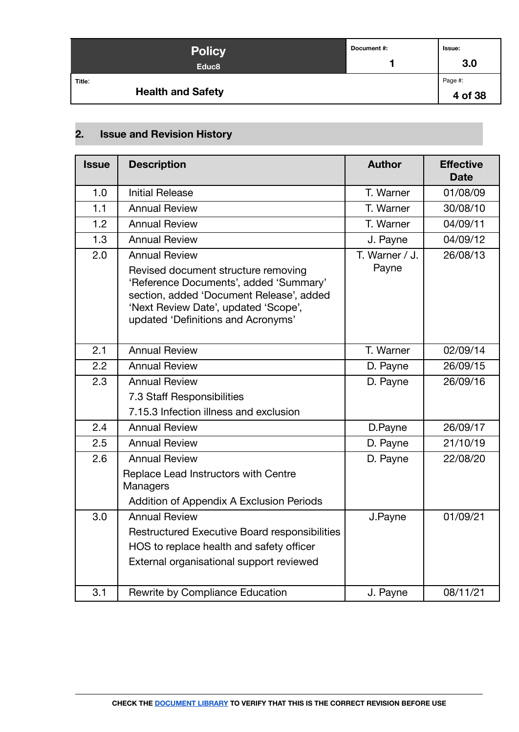| <b>Policy</b><br>Educ <sub>8</sub> | Document #: | <b>Issue:</b><br>3.0 |
|------------------------------------|-------------|----------------------|
| Title:<br><b>Health and Safety</b> |             | Page #:<br>4 of 38   |

# <span id="page-3-0"></span>**2. Issue and Revision History**

| <b>Issue</b> | <b>Description</b>                                                                                                                                                                                      | <b>Author</b>  | <b>Effective</b><br><b>Date</b> |
|--------------|---------------------------------------------------------------------------------------------------------------------------------------------------------------------------------------------------------|----------------|---------------------------------|
| 1.0          | <b>Initial Release</b>                                                                                                                                                                                  | T. Warner      | 01/08/09                        |
| 1.1          | <b>Annual Review</b>                                                                                                                                                                                    | T. Warner      | 30/08/10                        |
| 1.2          | <b>Annual Review</b>                                                                                                                                                                                    | T. Warner      | 04/09/11                        |
| 1.3          | <b>Annual Review</b>                                                                                                                                                                                    | J. Payne       | 04/09/12                        |
| 2.0          | <b>Annual Review</b>                                                                                                                                                                                    | T. Warner / J. | 26/08/13                        |
|              | Revised document structure removing<br>'Reference Documents', added 'Summary'<br>section, added 'Document Release', added<br>'Next Review Date', updated 'Scope',<br>updated 'Definitions and Acronyms' | Payne          |                                 |
| 2.1          | <b>Annual Review</b>                                                                                                                                                                                    | T. Warner      | 02/09/14                        |
| 2.2          | <b>Annual Review</b>                                                                                                                                                                                    | D. Payne       | 26/09/15                        |
| 2.3          | <b>Annual Review</b>                                                                                                                                                                                    | D. Payne       | 26/09/16                        |
|              | 7.3 Staff Responsibilities                                                                                                                                                                              |                |                                 |
|              | 7.15.3 Infection illness and exclusion                                                                                                                                                                  |                |                                 |
| 2.4          | <b>Annual Review</b>                                                                                                                                                                                    | D.Payne        | 26/09/17                        |
| 2.5          | <b>Annual Review</b>                                                                                                                                                                                    | D. Payne       | 21/10/19                        |
| 2.6          | <b>Annual Review</b>                                                                                                                                                                                    | D. Payne       | 22/08/20                        |
|              | Replace Lead Instructors with Centre<br>Managers                                                                                                                                                        |                |                                 |
|              | Addition of Appendix A Exclusion Periods                                                                                                                                                                |                |                                 |
| 3.0          | <b>Annual Review</b>                                                                                                                                                                                    | J.Payne        | 01/09/21                        |
|              | Restructured Executive Board responsibilities                                                                                                                                                           |                |                                 |
|              | HOS to replace health and safety officer                                                                                                                                                                |                |                                 |
|              | External organisational support reviewed                                                                                                                                                                |                |                                 |
| 3.1          | Rewrite by Compliance Education                                                                                                                                                                         | J. Payne       | 08/11/21                        |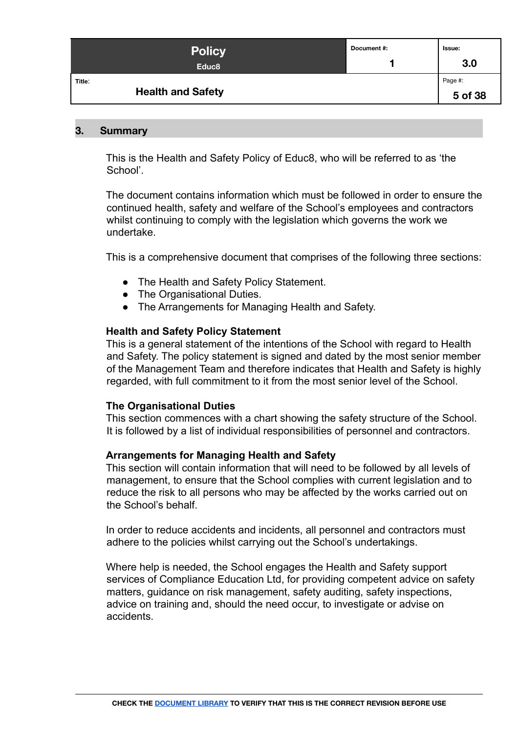| <b>Policy</b><br>Educ <sub>8</sub> | Document #: | Issue:<br>3.0      |
|------------------------------------|-------------|--------------------|
| Title:<br><b>Health and Safety</b> |             | Page #:<br>5 of 38 |

#### <span id="page-4-0"></span>**3. Summary**

This is the Health and Safety Policy of Educ8, who will be referred to as 'the School'.

The document contains information which must be followed in order to ensure the continued health, safety and welfare of the School's employees and contractors whilst continuing to comply with the legislation which governs the work we undertake.

This is a comprehensive document that comprises of the following three sections:

- The Health and Safety Policy Statement.
- The Organisational Duties.
- The Arrangements for Managing Health and Safety.

#### **Health and Safety Policy Statement**

This is a general statement of the intentions of the School with regard to Health and Safety. The policy statement is signed and dated by the most senior member of the Management Team and therefore indicates that Health and Safety is highly regarded, with full commitment to it from the most senior level of the School.

#### **The Organisational Duties**

This section commences with a chart showing the safety structure of the School. It is followed by a list of individual responsibilities of personnel and contractors.

#### **Arrangements for Managing Health and Safety**

This section will contain information that will need to be followed by all levels of management, to ensure that the School complies with current legislation and to reduce the risk to all persons who may be affected by the works carried out on the School's behalf.

In order to reduce accidents and incidents, all personnel and contractors must adhere to the policies whilst carrying out the School's undertakings.

Where help is needed, the School engages the Health and Safety support services of Compliance Education Ltd, for providing competent advice on safety matters, guidance on risk management, safety auditing, safety inspections, advice on training and, should the need occur, to investigate or advise on accidents.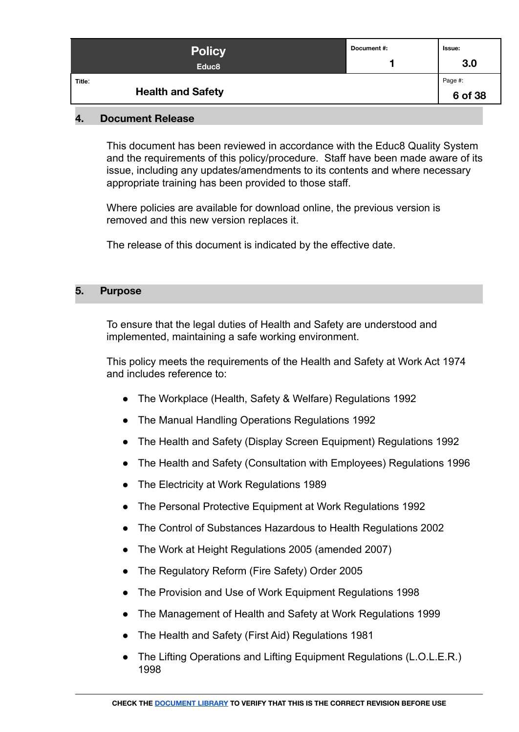| <b>Policy</b><br>Educ <sub>8</sub> | Document #: | lssue:<br>3.0      |
|------------------------------------|-------------|--------------------|
| Title:<br><b>Health and Safety</b> |             | Page #:<br>6 of 38 |

#### <span id="page-5-0"></span>**4. Document Release**

This document has been reviewed in accordance with the Educ8 Quality System and the requirements of this policy/procedure. Staff have been made aware of its issue, including any updates/amendments to its contents and where necessary appropriate training has been provided to those staff.

Where policies are available for download online, the previous version is removed and this new version replaces it.

The release of this document is indicated by the effective date.

#### <span id="page-5-1"></span>**5. Purpose**

To ensure that the legal duties of Health and Safety are understood and implemented, maintaining a safe working environment.

This policy meets the requirements of the Health and Safety at Work Act 1974 and includes reference to:

- The Workplace (Health, Safety & Welfare) Regulations 1992
- The Manual Handling Operations Regulations 1992
- The Health and Safety (Display Screen Equipment) Regulations 1992
- The Health and Safety (Consultation with Employees) Regulations 1996
- The Electricity at Work Regulations 1989
- The Personal Protective Equipment at Work Regulations 1992
- The Control of Substances Hazardous to Health Regulations 2002
- The Work at Height Regulations 2005 (amended 2007)
- The Regulatory Reform (Fire Safety) Order 2005
- The Provision and Use of Work Equipment Regulations 1998
- The Management of Health and Safety at Work Regulations 1999
- The Health and Safety (First Aid) Regulations 1981
- The Lifting Operations and Lifting Equipment Regulations (L.O.L.E.R.) 1998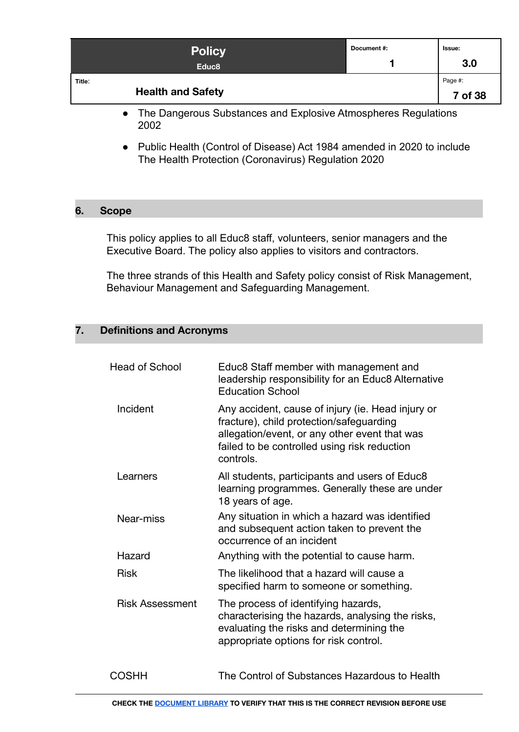|        | <b>Policy</b><br>Educ <sub>8</sub>                                   | Document #: | Issue:<br>3.0      |
|--------|----------------------------------------------------------------------|-------------|--------------------|
| Title: | <b>Health and Safety</b>                                             |             | Page #:<br>7 of 38 |
|        | The December of Lefenson and Euclidean Africa discussions and the co |             |                    |

- The Dangerous Substances and Explosive Atmospheres Regulations 2002
- Public Health (Control of Disease) Act 1984 amended in 2020 to include The Health Protection (Coronavirus) Regulation 2020

#### <span id="page-6-0"></span>**6. Scope**

This policy applies to all Educ8 staff, volunteers, senior managers and the Executive Board. The policy also applies to visitors and contractors.

The three strands of this Health and Safety policy consist of Risk Management, Behaviour Management and Safeguarding Management.

#### <span id="page-6-1"></span>**7. Definitions and Acronyms**

| <b>Head of School</b>  | Educ8 Staff member with management and<br>leadership responsibility for an Educ8 Alternative<br><b>Education School</b>                                                                                     |
|------------------------|-------------------------------------------------------------------------------------------------------------------------------------------------------------------------------------------------------------|
| Incident               | Any accident, cause of injury (ie. Head injury or<br>fracture), child protection/safeguarding<br>allegation/event, or any other event that was<br>failed to be controlled using risk reduction<br>controls. |
| Learners               | All students, participants and users of Educ8<br>learning programmes. Generally these are under<br>18 years of age.                                                                                         |
| Near-miss              | Any situation in which a hazard was identified<br>and subsequent action taken to prevent the<br>occurrence of an incident                                                                                   |
| Hazard                 | Anything with the potential to cause harm.                                                                                                                                                                  |
| <b>Risk</b>            | The likelihood that a hazard will cause a<br>specified harm to someone or something.                                                                                                                        |
| <b>Risk Assessment</b> | The process of identifying hazards,<br>characterising the hazards, analysing the risks,<br>evaluating the risks and determining the<br>appropriate options for risk control.                                |
| COSHH                  | The Control of Substances Hazardous to Health                                                                                                                                                               |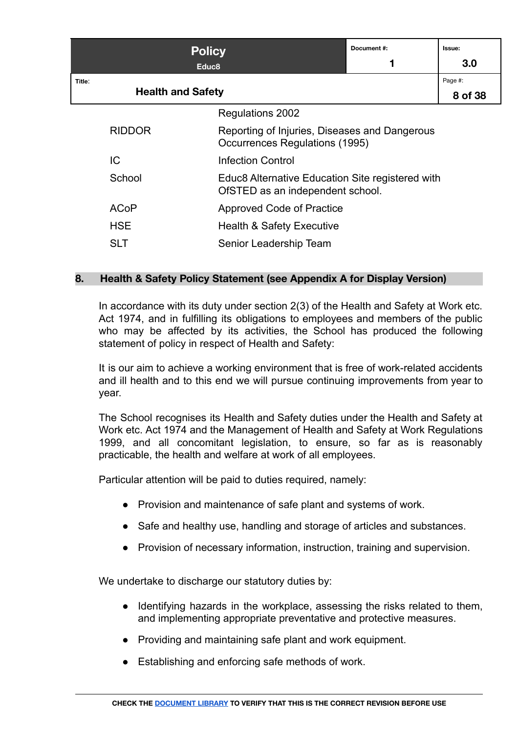|        | <b>Policy</b><br>Educ <sub>8</sub> |                                                                                      | Document#: | Issue:<br>3.0      |
|--------|------------------------------------|--------------------------------------------------------------------------------------|------------|--------------------|
| Title: | <b>Health and Safety</b>           |                                                                                      |            | Page #:<br>8 of 38 |
|        |                                    | <b>Regulations 2002</b>                                                              |            |                    |
|        | <b>RIDDOR</b>                      | Reporting of Injuries, Diseases and Dangerous<br>Occurrences Regulations (1995)      |            |                    |
|        | IC                                 | <b>Infection Control</b>                                                             |            |                    |
|        | School                             | Educ8 Alternative Education Site registered with<br>OfSTED as an independent school. |            |                    |
|        | <b>ACoP</b>                        | Approved Code of Practice                                                            |            |                    |
|        | <b>HSE</b>                         | <b>Health &amp; Safety Executive</b>                                                 |            |                    |
|        | <b>SLT</b>                         | Senior Leadership Team                                                               |            |                    |

# <span id="page-7-0"></span>**8. Health & Safety Policy Statement (see Appendix A for Display Version)**

In accordance with its duty under section 2(3) of the Health and Safety at Work etc. Act 1974, and in fulfilling its obligations to employees and members of the public who may be affected by its activities, the School has produced the following statement of policy in respect of Health and Safety:

It is our aim to achieve a working environment that is free of work-related accidents and ill health and to this end we will pursue continuing improvements from year to year.

The School recognises its Health and Safety duties under the Health and Safety at Work etc. Act 1974 and the Management of Health and Safety at Work Regulations 1999, and all concomitant legislation, to ensure, so far as is reasonably practicable, the health and welfare at work of all employees.

Particular attention will be paid to duties required, namely:

- Provision and maintenance of safe plant and systems of work.
- Safe and healthy use, handling and storage of articles and substances.
- Provision of necessary information, instruction, training and supervision.

We undertake to discharge our statutory duties by:

- Identifying hazards in the workplace, assessing the risks related to them, and implementing appropriate preventative and protective measures.
- Providing and maintaining safe plant and work equipment.
- Establishing and enforcing safe methods of work.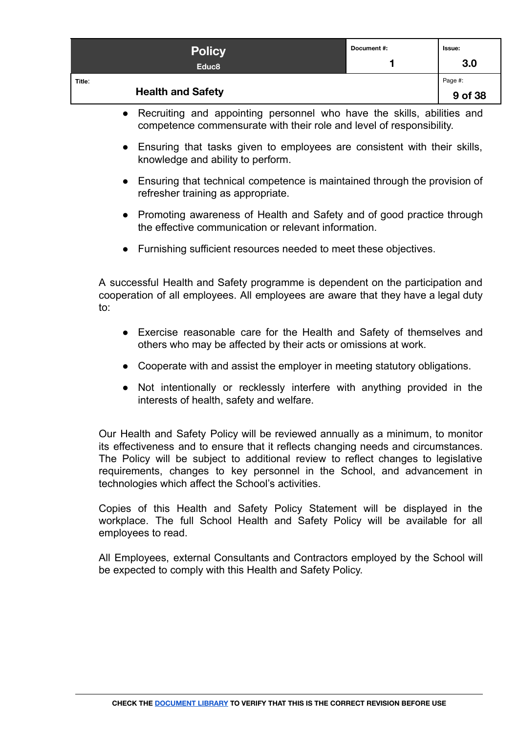| <b>Policy</b><br>Educ <sub>8</sub> | Document #: | lssue:<br>3.0      |
|------------------------------------|-------------|--------------------|
| Title:<br><b>Health and Safety</b> |             | Page #:<br>9 of 38 |

- Recruiting and appointing personnel who have the skills, abilities and competence commensurate with their role and level of responsibility.
- Ensuring that tasks given to employees are consistent with their skills, knowledge and ability to perform.
- Ensuring that technical competence is maintained through the provision of refresher training as appropriate.
- Promoting awareness of Health and Safety and of good practice through the effective communication or relevant information.
- Furnishing sufficient resources needed to meet these objectives.

A successful Health and Safety programme is dependent on the participation and cooperation of all employees. All employees are aware that they have a legal duty to:

- Exercise reasonable care for the Health and Safety of themselves and others who may be affected by their acts or omissions at work.
- Cooperate with and assist the employer in meeting statutory obligations.
- Not intentionally or recklessly interfere with anything provided in the interests of health, safety and welfare.

Our Health and Safety Policy will be reviewed annually as a minimum, to monitor its effectiveness and to ensure that it reflects changing needs and circumstances. The Policy will be subject to additional review to reflect changes to legislative requirements, changes to key personnel in the School, and advancement in technologies which affect the School's activities.

Copies of this Health and Safety Policy Statement will be displayed in the workplace. The full School Health and Safety Policy will be available for all employees to read.

All Employees, external Consultants and Contractors employed by the School will be expected to comply with this Health and Safety Policy.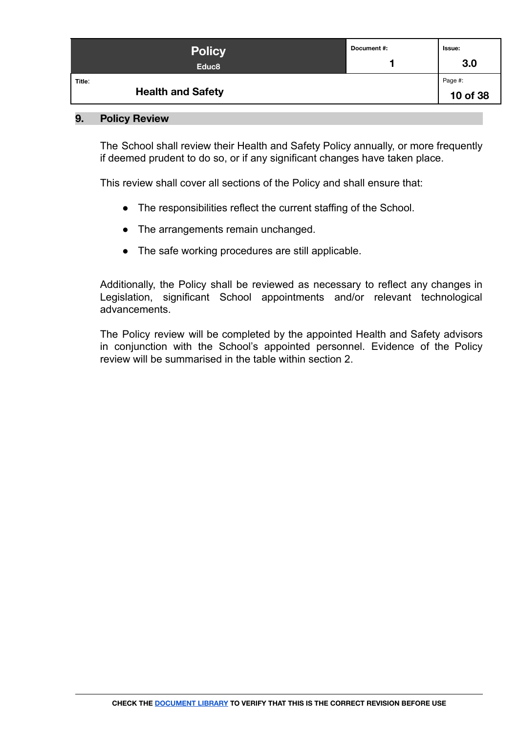| <b>Policy</b><br>Educ <sub>8</sub> | Document #: | Issue:<br>3.0       |
|------------------------------------|-------------|---------------------|
| Title:<br><b>Health and Safety</b> |             | Page #:<br>10 of 38 |

#### <span id="page-9-0"></span>**9. Policy Review**

The School shall review their Health and Safety Policy annually, or more frequently if deemed prudent to do so, or if any significant changes have taken place.

This review shall cover all sections of the Policy and shall ensure that:

- The responsibilities reflect the current staffing of the School.
- The arrangements remain unchanged.
- The safe working procedures are still applicable.

Additionally, the Policy shall be reviewed as necessary to reflect any changes in Legislation, significant School appointments and/or relevant technological advancements.

The Policy review will be completed by the appointed Health and Safety advisors in conjunction with the School's appointed personnel. Evidence of the Policy review will be summarised in the table within section 2.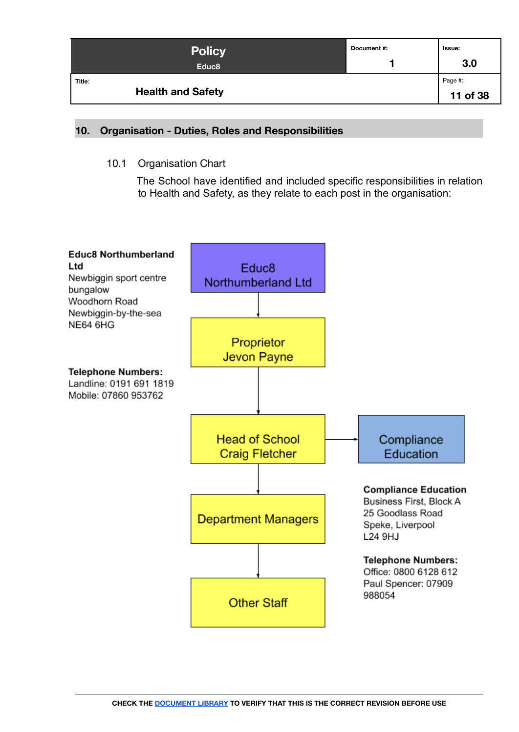| <b>Policy</b><br>Educ <sub>8</sub> | Document #: | <b>Issue:</b><br>3.0 |
|------------------------------------|-------------|----------------------|
| Title:<br><b>Health and Safety</b> |             | Page #:<br>11 of 38  |

#### <span id="page-10-1"></span><span id="page-10-0"></span>**10. Organisation - Duties, Roles and Responsibilities**

10.1 Organisation Chart

The School have identified and included specific responsibilities in relation to Health and Safety, as they relate to each post in the organisation:

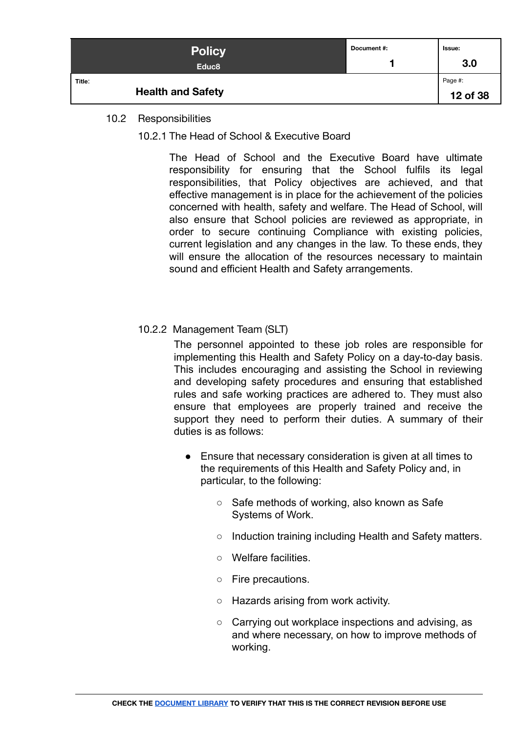| <b>Policy</b><br>Educ <sub>8</sub> | Document #: | Issue:<br>3.0       |
|------------------------------------|-------------|---------------------|
| Title:<br><b>Health and Safety</b> |             | Page #:<br>12 of 38 |

#### <span id="page-11-1"></span><span id="page-11-0"></span>10.2 Responsibilities

10.2.1 The Head of School & Executive Board

The Head of School and the Executive Board have ultimate responsibility for ensuring that the School fulfils its legal responsibilities, that Policy objectives are achieved, and that effective management is in place for the achievement of the policies concerned with health, safety and welfare. The Head of School, will also ensure that School policies are reviewed as appropriate, in order to secure continuing Compliance with existing policies, current legislation and any changes in the law. To these ends, they will ensure the allocation of the resources necessary to maintain sound and efficient Health and Safety arrangements.

# <span id="page-11-2"></span>10.2.2 Management Team (SLT)

The personnel appointed to these job roles are responsible for implementing this Health and Safety Policy on a day-to-day basis. This includes encouraging and assisting the School in reviewing and developing safety procedures and ensuring that established rules and safe working practices are adhered to. They must also ensure that employees are properly trained and receive the support they need to perform their duties. A summary of their duties is as follows:

- Ensure that necessary consideration is given at all times to the requirements of this Health and Safety Policy and, in particular, to the following:
	- Safe methods of working, also known as Safe Systems of Work.
	- Induction training including Health and Safety matters.
	- Welfare facilities.
	- Fire precautions.
	- Hazards arising from work activity.
	- Carrying out workplace inspections and advising, as and where necessary, on how to improve methods of working.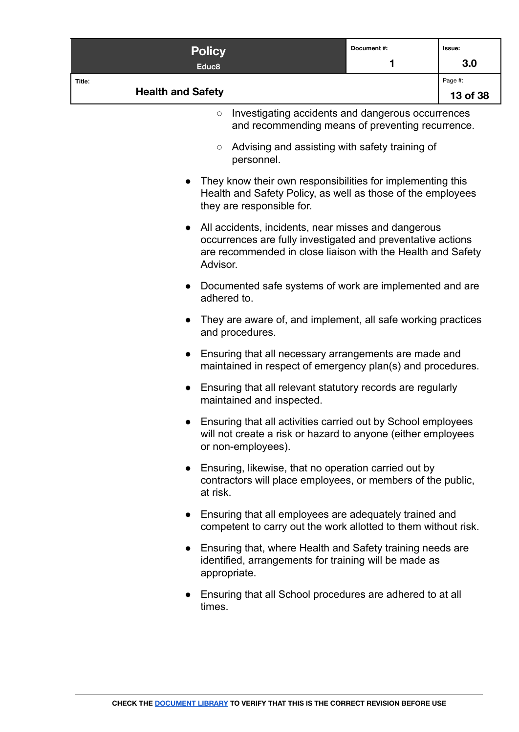| <b>Policy</b>                                                                                                                                                                                              | Document#: | Issue:   |
|------------------------------------------------------------------------------------------------------------------------------------------------------------------------------------------------------------|------------|----------|
| Educ <sub>8</sub>                                                                                                                                                                                          | 1          | 3.0      |
| Title:<br><b>Health and Safety</b>                                                                                                                                                                         |            | Page #:  |
| Investigating accidents and dangerous occurrences<br>$\circlearrowright$<br>and recommending means of preventing recurrence.                                                                               |            | 13 of 38 |
| Advising and assisting with safety training of<br>$\circ$<br>personnel.                                                                                                                                    |            |          |
| They know their own responsibilities for implementing this<br>Health and Safety Policy, as well as those of the employees<br>they are responsible for.                                                     |            |          |
| All accidents, incidents, near misses and dangerous<br>$\bullet$<br>occurrences are fully investigated and preventative actions<br>are recommended in close liaison with the Health and Safety<br>Advisor. |            |          |
| Documented safe systems of work are implemented and are<br>$\bullet$<br>adhered to.                                                                                                                        |            |          |
| They are aware of, and implement, all safe working practices<br>and procedures.                                                                                                                            |            |          |
| Ensuring that all necessary arrangements are made and<br>$\bullet$<br>maintained in respect of emergency plan(s) and procedures.                                                                           |            |          |
| Ensuring that all relevant statutory records are regularly<br>$\bullet$<br>maintained and inspected.                                                                                                       |            |          |
| Ensuring that all activities carried out by School employees<br>will not create a risk or hazard to anyone (either employees<br>or non-employees).                                                         |            |          |
| Ensuring, likewise, that no operation carried out by<br>$\bullet$<br>contractors will place employees, or members of the public,<br>at risk.                                                               |            |          |
| Ensuring that all employees are adequately trained and<br>$\bullet$<br>competent to carry out the work allotted to them without risk.                                                                      |            |          |
| Ensuring that, where Health and Safety training needs are<br>$\bullet$<br>identified, arrangements for training will be made as<br>appropriate.                                                            |            |          |
| Ensuring that all School procedures are adhered to at all<br>$\bullet$<br>times.                                                                                                                           |            |          |
|                                                                                                                                                                                                            |            |          |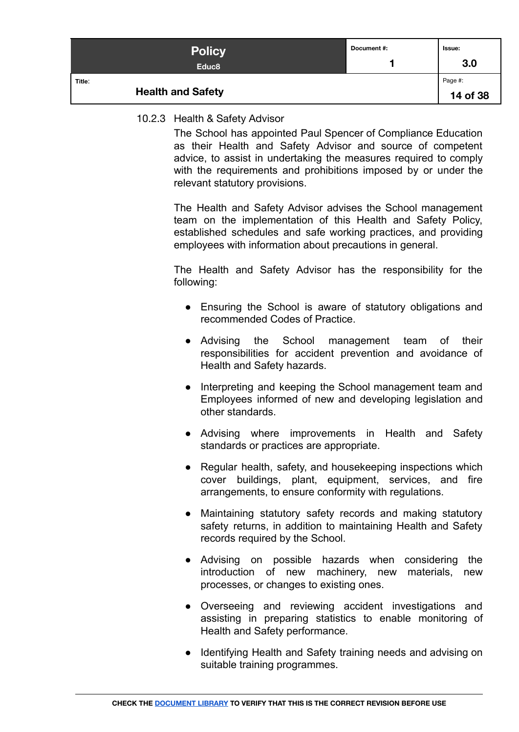| <b>Policy</b><br>Educ <sub>8</sub> | Document #: | Issue:<br>3.0 |
|------------------------------------|-------------|---------------|
| Title:                             |             | Page #:       |
| <b>Health and Safety</b>           |             | 14 of 38      |

#### <span id="page-13-0"></span>10.2.3 Health & Safety Advisor

The School has appointed Paul Spencer of Compliance Education as their Health and Safety Advisor and source of competent advice, to assist in undertaking the measures required to comply with the requirements and prohibitions imposed by or under the relevant statutory provisions.

The Health and Safety Advisor advises the School management team on the implementation of this Health and Safety Policy, established schedules and safe working practices, and providing employees with information about precautions in general.

The Health and Safety Advisor has the responsibility for the following:

- Ensuring the School is aware of statutory obligations and recommended Codes of Practice.
- Advising the School management team of their responsibilities for accident prevention and avoidance of Health and Safety hazards.
- Interpreting and keeping the School management team and Employees informed of new and developing legislation and other standards.
- Advising where improvements in Health and Safety standards or practices are appropriate.
- Regular health, safety, and housekeeping inspections which cover buildings, plant, equipment, services, and fire arrangements, to ensure conformity with regulations.
- Maintaining statutory safety records and making statutory safety returns, in addition to maintaining Health and Safety records required by the School.
- Advising on possible hazards when considering the introduction of new machinery, new materials, new processes, or changes to existing ones.
- Overseeing and reviewing accident investigations and assisting in preparing statistics to enable monitoring of Health and Safety performance.
- Identifying Health and Safety training needs and advising on suitable training programmes.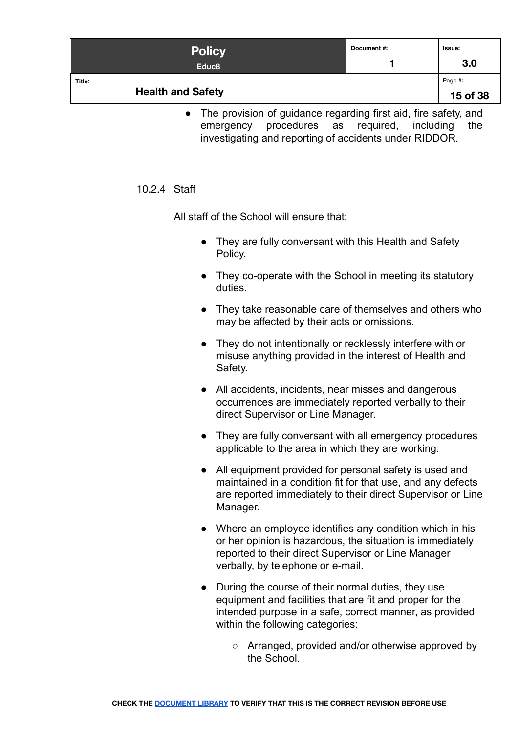| <b>Policy</b><br>Educ <sub>8</sub> | Document #: | lssue:<br>3.0       |
|------------------------------------|-------------|---------------------|
| Title:<br><b>Health and Safety</b> |             | Page #:<br>15 of 38 |

• The provision of guidance regarding first aid, fire safety, and emergency procedures as required, including the investigating and reporting of accidents under RIDDOR.

#### <span id="page-14-0"></span>10.2.4 Staff

All staff of the School will ensure that:

- They are fully conversant with this Health and Safety Policy.
- They co-operate with the School in meeting its statutory duties.
- They take reasonable care of themselves and others who may be affected by their acts or omissions.
- They do not intentionally or recklessly interfere with or misuse anything provided in the interest of Health and Safety.
- All accidents, incidents, near misses and dangerous occurrences are immediately reported verbally to their direct Supervisor or Line Manager.
- They are fully conversant with all emergency procedures applicable to the area in which they are working.
- All equipment provided for personal safety is used and maintained in a condition fit for that use, and any defects are reported immediately to their direct Supervisor or Line Manager.
- Where an employee identifies any condition which in his or her opinion is hazardous, the situation is immediately reported to their direct Supervisor or Line Manager verbally, by telephone or e-mail.
- During the course of their normal duties, they use equipment and facilities that are fit and proper for the intended purpose in a safe, correct manner, as provided within the following categories:
	- Arranged, provided and/or otherwise approved by the School.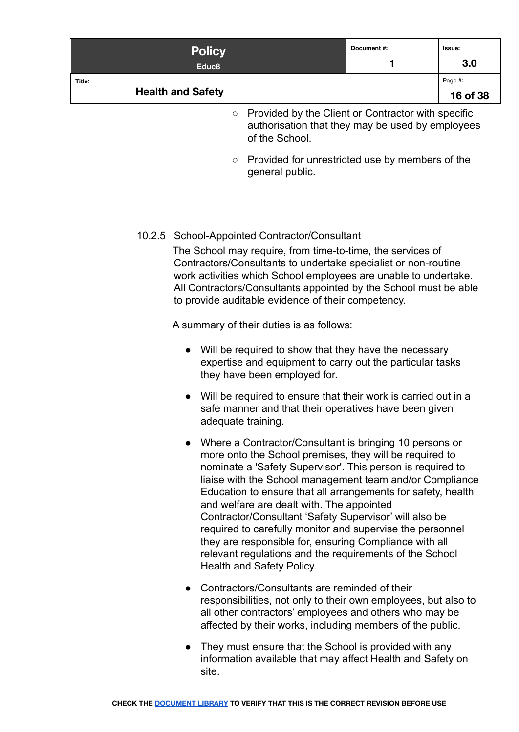|        | <b>Policy</b>            |                                                                                                                | Document#: | Issue:   |
|--------|--------------------------|----------------------------------------------------------------------------------------------------------------|------------|----------|
|        | Educ <sub>8</sub>        |                                                                                                                |            | 3.0      |
| Title: |                          |                                                                                                                |            | Page #:  |
|        | <b>Health and Safety</b> |                                                                                                                |            | 16 of 38 |
|        |                          | $\circ$ Provided by the Client or Contractor with specific<br>authorization that they may be used by employees |            |          |

- authorisation that they may be used by employees of the School.
- Provided for unrestricted use by members of the general public.

# <span id="page-15-0"></span>10.2.5 School-Appointed Contractor/Consultant

The School may require, from time-to-time, the services of Contractors/Consultants to undertake specialist or non-routine work activities which School employees are unable to undertake. All Contractors/Consultants appointed by the School must be able to provide auditable evidence of their competency.

A summary of their duties is as follows:

- Will be required to show that they have the necessary expertise and equipment to carry out the particular tasks they have been employed for.
- Will be required to ensure that their work is carried out in a safe manner and that their operatives have been given adequate training.
- Where a Contractor/Consultant is bringing 10 persons or more onto the School premises, they will be required to nominate a 'Safety Supervisor'. This person is required to liaise with the School management team and/or Compliance Education to ensure that all arrangements for safety, health and welfare are dealt with. The appointed Contractor/Consultant 'Safety Supervisor' will also be required to carefully monitor and supervise the personnel they are responsible for, ensuring Compliance with all relevant regulations and the requirements of the School Health and Safety Policy.
- Contractors/Consultants are reminded of their responsibilities, not only to their own employees, but also to all other contractors' employees and others who may be affected by their works, including members of the public.
- They must ensure that the School is provided with any information available that may affect Health and Safety on site.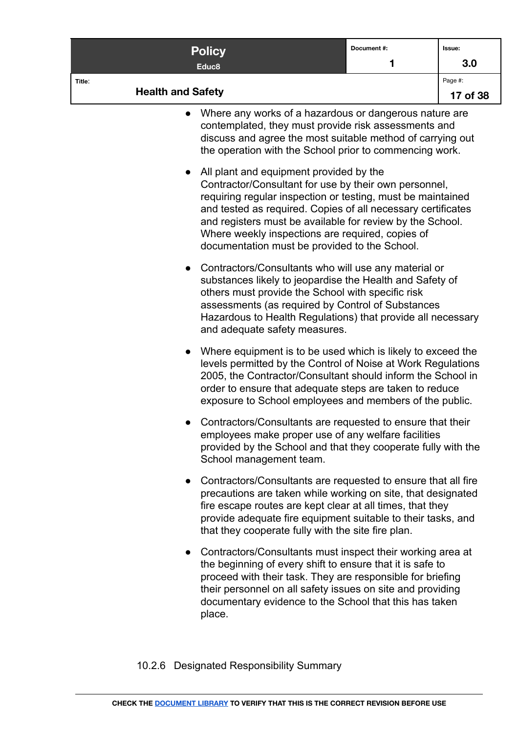|                                    | <b>Policy</b>                                                                                                                                                                                                                                                                                                                                                                                     | Document#: | Issue:              |
|------------------------------------|---------------------------------------------------------------------------------------------------------------------------------------------------------------------------------------------------------------------------------------------------------------------------------------------------------------------------------------------------------------------------------------------------|------------|---------------------|
|                                    | Educ8                                                                                                                                                                                                                                                                                                                                                                                             | 1          | 3.0                 |
| Title:<br><b>Health and Safety</b> |                                                                                                                                                                                                                                                                                                                                                                                                   |            | Page #:<br>17 of 38 |
|                                    | Where any works of a hazardous or dangerous nature are<br>contemplated, they must provide risk assessments and<br>discuss and agree the most suitable method of carrying out<br>the operation with the School prior to commencing work.                                                                                                                                                           |            |                     |
|                                    | All plant and equipment provided by the<br>Contractor/Consultant for use by their own personnel,<br>requiring regular inspection or testing, must be maintained<br>and tested as required. Copies of all necessary certificates<br>and registers must be available for review by the School.<br>Where weekly inspections are required, copies of<br>documentation must be provided to the School. |            |                     |
|                                    | Contractors/Consultants who will use any material or<br>substances likely to jeopardise the Health and Safety of<br>others must provide the School with specific risk<br>assessments (as required by Control of Substances<br>Hazardous to Health Regulations) that provide all necessary<br>and adequate safety measures.                                                                        |            |                     |
|                                    | Where equipment is to be used which is likely to exceed the<br>levels permitted by the Control of Noise at Work Regulations<br>2005, the Contractor/Consultant should inform the School in<br>order to ensure that adequate steps are taken to reduce<br>exposure to School employees and members of the public.                                                                                  |            |                     |
|                                    | Contractors/Consultants are requested to ensure that their<br>employees make proper use of any welfare facilities<br>provided by the School and that they cooperate fully with the<br>School management team.                                                                                                                                                                                     |            |                     |
|                                    | Contractors/Consultants are requested to ensure that all fire<br>precautions are taken while working on site, that designated<br>fire escape routes are kept clear at all times, that they<br>provide adequate fire equipment suitable to their tasks, and<br>that they cooperate fully with the site fire plan.                                                                                  |            |                     |
|                                    | Contractors/Consultants must inspect their working area at<br>the beginning of every shift to ensure that it is safe to<br>proceed with their task. They are responsible for briefing<br>their personnel on all safety issues on site and providing<br>documentary evidence to the School that this has taken<br>place.                                                                           |            |                     |

<span id="page-16-0"></span>10.2.6 Designated Responsibility Summary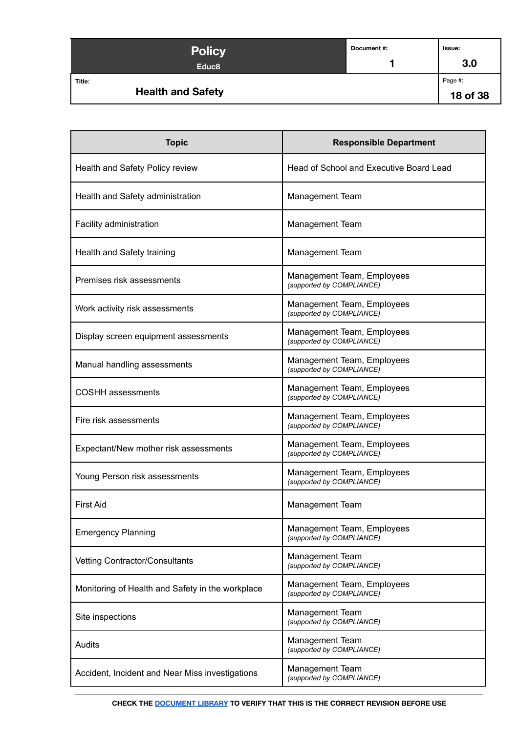| <b>Policy</b><br>Educ <sub>8</sub> | Document #: | Issue:<br>3.0       |
|------------------------------------|-------------|---------------------|
| Title:<br><b>Health and Safety</b> |             | Page #:<br>18 of 38 |

| <b>Topic</b>                                     | <b>Responsible Department</b>                           |
|--------------------------------------------------|---------------------------------------------------------|
| Health and Safety Policy review                  | Head of School and Executive Board Lead                 |
| Health and Safety administration                 | <b>Management Team</b>                                  |
| Facility administration                          | <b>Management Team</b>                                  |
| Health and Safety training                       | <b>Management Team</b>                                  |
| Premises risk assessments                        | Management Team, Employees<br>(supported by COMPLIANCE) |
| Work activity risk assessments                   | Management Team, Employees<br>(supported by COMPLIANCE) |
| Display screen equipment assessments             | Management Team, Employees<br>(supported by COMPLIANCE) |
| Manual handling assessments                      | Management Team, Employees<br>(supported by COMPLIANCE) |
| <b>COSHH</b> assessments                         | Management Team, Employees<br>(supported by COMPLIANCE) |
| Fire risk assessments                            | Management Team, Employees<br>(supported by COMPLIANCE) |
| Expectant/New mother risk assessments            | Management Team, Employees<br>(supported by COMPLIANCE) |
| Young Person risk assessments                    | Management Team, Employees<br>(supported by COMPLIANCE) |
| <b>First Aid</b>                                 | <b>Management Team</b>                                  |
| <b>Emergency Planning</b>                        | Management Team, Employees<br>(supported by COMPLIANCE) |
| <b>Vetting Contractor/Consultants</b>            | Management Team<br>(supported by COMPLIANCE)            |
| Monitoring of Health and Safety in the workplace | Management Team, Employees<br>(supported by COMPLIANCE) |
| Site inspections                                 | Management Team<br>(supported by COMPLIANCE)            |
| Audits                                           | Management Team<br>(supported by COMPLIANCE)            |
| Accident, Incident and Near Miss investigations  | Management Team<br>(supported by COMPLIANCE)            |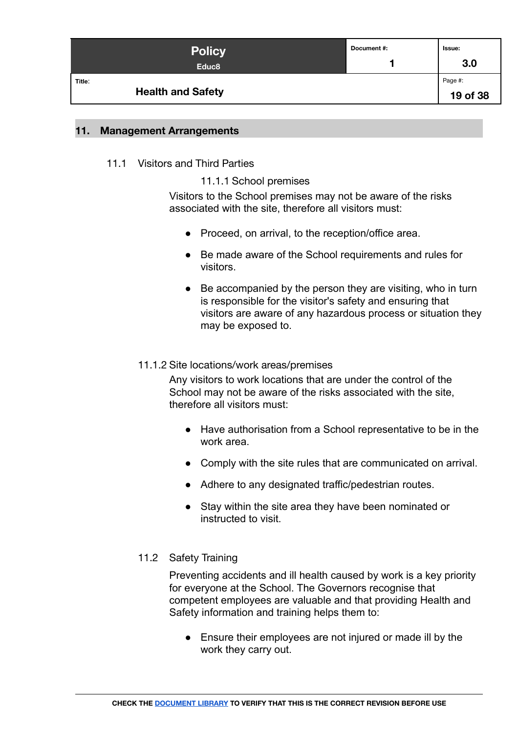| <b>Policy</b><br>Educ <sub>8</sub> | Document #: | lssue:<br>3.0       |
|------------------------------------|-------------|---------------------|
| Title:<br><b>Health and Safety</b> |             | Page #:<br>19 of 38 |

#### <span id="page-18-1"></span><span id="page-18-0"></span>**11. Management Arrangements**

#### <span id="page-18-2"></span>11.1 Visitors and Third Parties

#### 11.1.1 School premises

Visitors to the School premises may not be aware of the risks associated with the site, therefore all visitors must:

- Proceed, on arrival, to the reception/office area.
- Be made aware of the School requirements and rules for visitors.
- Be accompanied by the person they are visiting, who in turn is responsible for the visitor's safety and ensuring that visitors are aware of any hazardous process or situation they may be exposed to.

#### <span id="page-18-3"></span>11.1.2 Site locations/work areas/premises

Any visitors to work locations that are under the control of the School may not be aware of the risks associated with the site, therefore all visitors must:

- Have authorisation from a School representative to be in the work area.
- Comply with the site rules that are communicated on arrival.
- Adhere to any designated traffic/pedestrian routes.
- Stay within the site area they have been nominated or instructed to visit.

# <span id="page-18-4"></span>11.2 Safety Training

Preventing accidents and ill health caused by work is a key priority for everyone at the School. The Governors recognise that competent employees are valuable and that providing Health and Safety information and training helps them to:

● Ensure their employees are not injured or made ill by the work they carry out.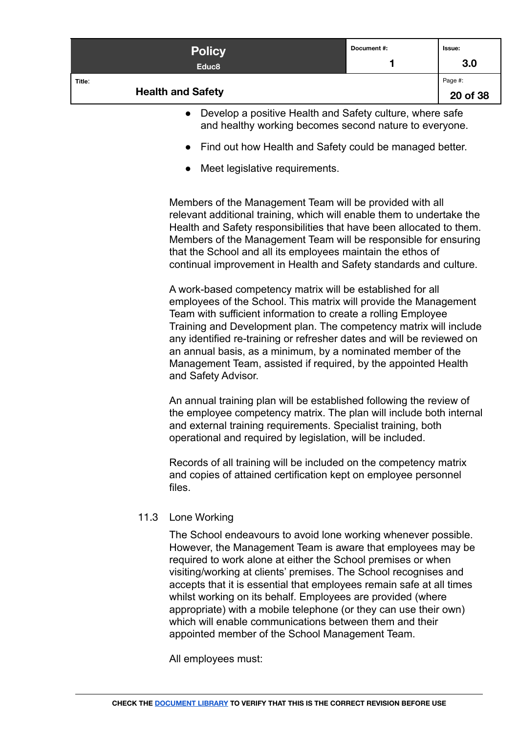| <b>Policy</b><br>Educ <sub>8</sub> | Document #: | Issue:<br>3.0       |
|------------------------------------|-------------|---------------------|
| Title:<br><b>Health and Safety</b> |             | Page #:<br>20 of 38 |

- Develop a positive Health and Safety culture, where safe and healthy working becomes second nature to everyone.
- Find out how Health and Safety could be managed better.
- Meet legislative requirements.

Members of the Management Team will be provided with all relevant additional training, which will enable them to undertake the Health and Safety responsibilities that have been allocated to them. Members of the Management Team will be responsible for ensuring that the School and all its employees maintain the ethos of continual improvement in Health and Safety standards and culture.

A work-based competency matrix will be established for all employees of the School. This matrix will provide the Management Team with sufficient information to create a rolling Employee Training and Development plan. The competency matrix will include any identified re-training or refresher dates and will be reviewed on an annual basis, as a minimum, by a nominated member of the Management Team, assisted if required, by the appointed Health and Safety Advisor.

An annual training plan will be established following the review of the employee competency matrix. The plan will include both internal and external training requirements. Specialist training, both operational and required by legislation, will be included.

Records of all training will be included on the competency matrix and copies of attained certification kept on employee personnel files.

#### <span id="page-19-0"></span>11.3 Lone Working

The School endeavours to avoid lone working whenever possible. However, the Management Team is aware that employees may be required to work alone at either the School premises or when visiting/working at clients' premises. The School recognises and accepts that it is essential that employees remain safe at all times whilst working on its behalf. Employees are provided (where appropriate) with a mobile telephone (or they can use their own) which will enable communications between them and their appointed member of the School Management Team.

All employees must: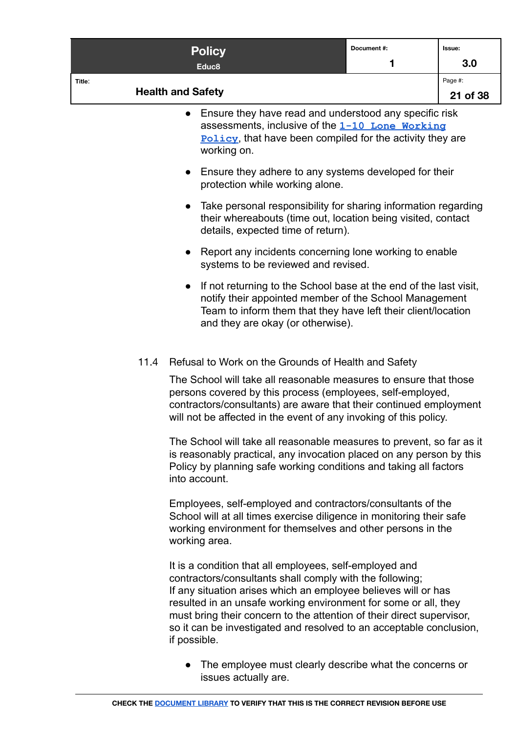|        | <b>Policy</b>                                                                                                                                                                                                                                                              | Document #: | Issue:   |
|--------|----------------------------------------------------------------------------------------------------------------------------------------------------------------------------------------------------------------------------------------------------------------------------|-------------|----------|
|        | Educ <sub>8</sub>                                                                                                                                                                                                                                                          | 1           | 3.0      |
| Title: |                                                                                                                                                                                                                                                                            |             | Page #:  |
|        | <b>Health and Safety</b>                                                                                                                                                                                                                                                   |             | 21 of 38 |
|        | Ensure they have read and understood any specific risk<br>$\bullet$<br>assessments, inclusive of the 1-10 Lone Working<br><b>Policy</b> , that have been compiled for the activity they are<br>working on.                                                                 |             |          |
|        | Ensure they adhere to any systems developed for their<br>$\bullet$<br>protection while working alone.                                                                                                                                                                      |             |          |
|        | Take personal responsibility for sharing information regarding<br>$\bullet$<br>their whereabouts (time out, location being visited, contact<br>details, expected time of return).                                                                                          |             |          |
|        | Report any incidents concerning lone working to enable<br>$\bullet$<br>systems to be reviewed and revised.                                                                                                                                                                 |             |          |
|        | If not returning to the School base at the end of the last visit,<br>$\bullet$<br>notify their appointed member of the School Management<br>Team to inform them that they have left their client/location<br>and they are okay (or otherwise).                             |             |          |
| 11.4   | Refusal to Work on the Grounds of Health and Safety                                                                                                                                                                                                                        |             |          |
|        | The School will take all reasonable measures to ensure that those<br>persons covered by this process (employees, self-employed,<br>contractors/consultants) are aware that their continued employment<br>will not be affected in the event of any invoking of this policy. |             |          |
|        | The School will take all reasonable measures to prevent, so far as it<br>is reasonably practical, any invocation placed on any person by this<br>Policy by planning safe working conditions and taking all factors<br>into account.                                        |             |          |
|        | Employees, self-employed and contractors/consultants of the<br>School will at all times exercise diligence in monitoring their safe<br>working environment for themselves and other persons in the<br>working area.                                                        |             |          |
|        | It is a condition that all employees, self-employed and<br>contractors/consultants shall comply with the following;<br>If any situation arises which an employee believes will or has<br>resulted in an unsafe working environment for some or all, they                   |             |          |

<span id="page-20-0"></span>must bring their concern to the attention of their direct supervisor, so it can be investigated and resolved to an acceptable conclusion, if possible.

● The employee must clearly describe what the concerns or issues actually are.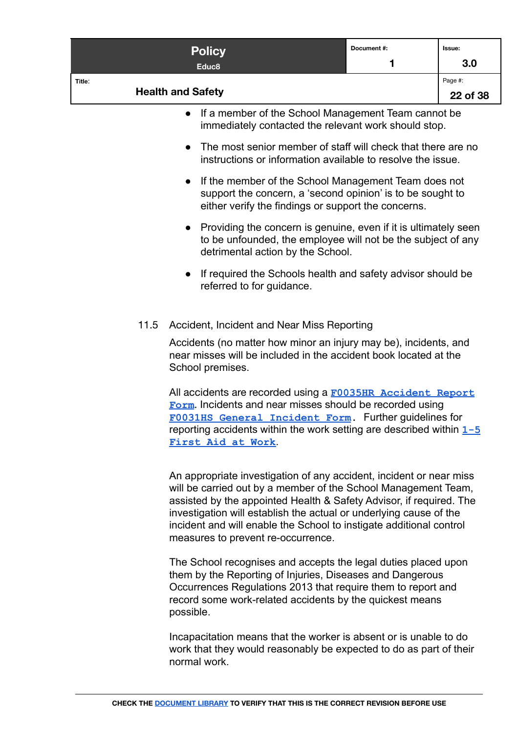<span id="page-21-0"></span>

|        | <b>Policy</b>                                                                                                                                                                                                                                                                                                                                                                                   | Document#:<br>1 | Issue:              |
|--------|-------------------------------------------------------------------------------------------------------------------------------------------------------------------------------------------------------------------------------------------------------------------------------------------------------------------------------------------------------------------------------------------------|-----------------|---------------------|
|        | Educ <sub>8</sub>                                                                                                                                                                                                                                                                                                                                                                               |                 | 3.0                 |
| Title: | <b>Health and Safety</b>                                                                                                                                                                                                                                                                                                                                                                        |                 | Page #:<br>22 of 38 |
|        | If a member of the School Management Team cannot be<br>$\bullet$<br>immediately contacted the relevant work should stop.                                                                                                                                                                                                                                                                        |                 |                     |
|        | The most senior member of staff will check that there are no<br>$\bullet$<br>instructions or information available to resolve the issue.                                                                                                                                                                                                                                                        |                 |                     |
|        | If the member of the School Management Team does not<br>$\bullet$<br>support the concern, a 'second opinion' is to be sought to<br>either verify the findings or support the concerns.                                                                                                                                                                                                          |                 |                     |
|        | Providing the concern is genuine, even if it is ultimately seen<br>$\bullet$<br>to be unfounded, the employee will not be the subject of any<br>detrimental action by the School.                                                                                                                                                                                                               |                 |                     |
|        | If required the Schools health and safety advisor should be<br>referred to for guidance.                                                                                                                                                                                                                                                                                                        |                 |                     |
| 11.5   | Accident, Incident and Near Miss Reporting                                                                                                                                                                                                                                                                                                                                                      |                 |                     |
|        | Accidents (no matter how minor an injury may be), incidents, and<br>near misses will be included in the accident book located at the<br>School premises.                                                                                                                                                                                                                                        |                 |                     |
|        | All accidents are recorded using a F0035HR Accident Report<br>Form. Incidents and near misses should be recorded using<br>FOO31HS General Incident Form. Further guidelines for<br>reporting accidents within the work setting are described within $1 - 5$<br>First Aid at Work                                                                                                                |                 |                     |
|        | An appropriate investigation of any accident, incident or near miss<br>will be carried out by a member of the School Management Team,<br>assisted by the appointed Health & Safety Advisor, if required. The<br>investigation will establish the actual or underlying cause of the<br>incident and will enable the School to instigate additional control<br>measures to prevent re-occurrence. |                 |                     |
|        | The School recognises and accepts the legal duties placed upon<br>them by the Reporting of Injuries, Diseases and Dangerous<br>Occurrences Regulations 2013 that require them to report and<br>record some work-related accidents by the quickest means<br>possible.                                                                                                                            |                 |                     |

Incapacitation means that the worker is absent or is unable to do work that they would reasonably be expected to do as part of their normal work.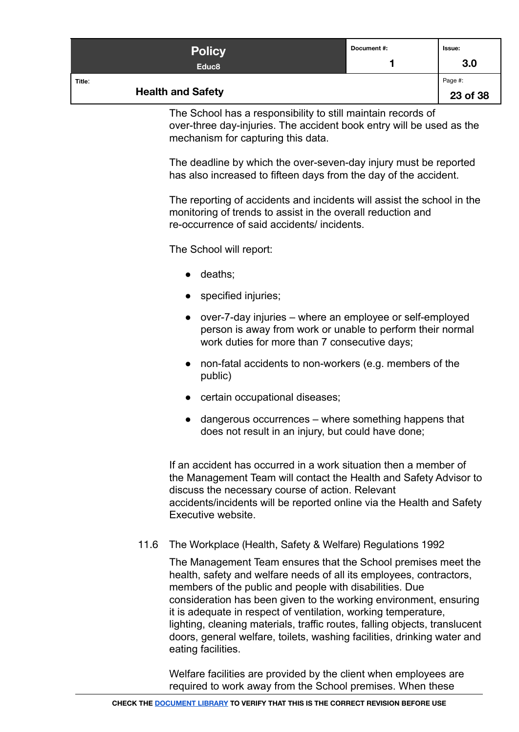| <b>Policy</b><br>Educ <sub>8</sub> | Document #: | Issue:<br>3.0       |
|------------------------------------|-------------|---------------------|
| Title:<br><b>Health and Safety</b> |             | Page #:<br>23 of 38 |

The School has a responsibility to still maintain records of over-three day-injuries. The accident book entry will be used as the mechanism for capturing this data.

The deadline by which the over-seven-day injury must be reported has also increased to fifteen days from the day of the accident.

The reporting of accidents and incidents will assist the school in the monitoring of trends to assist in the overall reduction and re-occurrence of said accidents/ incidents.

The School will report:

- deaths;
- specified injuries;
- over-7-day injuries where an employee or self-employed person is away from work or unable to perform their normal work duties for more than 7 consecutive days;
- non-fatal accidents to non-workers (e.g. members of the public)
- certain occupational diseases:
- $\bullet$  dangerous occurrences  $-$  where something happens that does not result in an injury, but could have done;

If an accident has occurred in a work situation then a member of the Management Team will contact the Health and Safety Advisor to discuss the necessary course of action. Relevant accidents/incidents will be reported online via the Health and Safety Executive website.

#### <span id="page-22-0"></span>11.6 The Workplace (Health, Safety & Welfare) Regulations 1992

The Management Team ensures that the School premises meet the health, safety and welfare needs of all its employees, contractors, members of the public and people with disabilities. Due consideration has been given to the working environment, ensuring it is adequate in respect of ventilation, working temperature, lighting, cleaning materials, traffic routes, falling objects, translucent doors, general welfare, toilets, washing facilities, drinking water and eating facilities.

Welfare facilities are provided by the client when employees are required to work away from the School premises. When these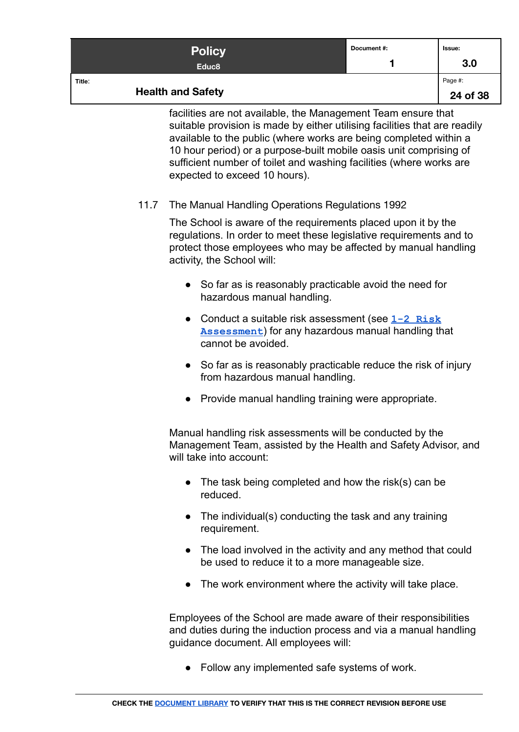|        | <b>Policy</b><br>Educ <sub>8</sub>                            | Document#: | Issue:<br>3.0       |
|--------|---------------------------------------------------------------|------------|---------------------|
| Title: | <b>Health and Safety</b>                                      |            | Page #:<br>24 of 38 |
|        | facilities are not available, the Management Team ensure that |            |                     |

facilities are not available, the Management Team ensure that suitable provision is made by either utilising facilities that are readily available to the public (where works are being completed within a 10 hour period) or a purpose-built mobile oasis unit comprising of sufficient number of toilet and washing facilities (where works are expected to exceed 10 hours).

# <span id="page-23-0"></span>11.7 The Manual Handling Operations Regulations 1992

The School is aware of the requirements placed upon it by the regulations. In order to meet these legislative requirements and to protect those employees who may be affected by manual handling activity, the School will:

- So far as is reasonably practicable avoid the need for hazardous manual handling.
- Conduct a suitable risk assessment (see **[1-2 Risk](https://docs.google.com/document/d/1K8vk6PxRGoRL2LBITbachAGi_xuSEeMJ-MmXeO61NUc/edit#) [Assessment](https://docs.google.com/document/d/1K8vk6PxRGoRL2LBITbachAGi_xuSEeMJ-MmXeO61NUc/edit#)**) for any hazardous manual handling that cannot be avoided.
- So far as is reasonably practicable reduce the risk of injury from hazardous manual handling.
- Provide manual handling training were appropriate.

Manual handling risk assessments will be conducted by the Management Team, assisted by the Health and Safety Advisor, and will take into account:

- $\bullet$  The task being completed and how the risk(s) can be reduced.
- The individual(s) conducting the task and any training requirement.
- The load involved in the activity and any method that could be used to reduce it to a more manageable size.
- The work environment where the activity will take place.

Employees of the School are made aware of their responsibilities and duties during the induction process and via a manual handling guidance document. All employees will:

● Follow any implemented safe systems of work.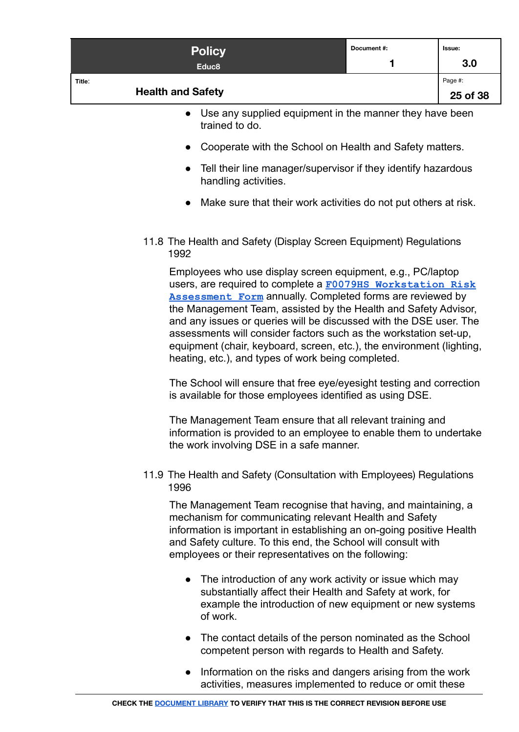<span id="page-24-0"></span>

|        | <b>Policy</b>                                                                                                                                                                                                                                                                                                                                                                                                                                                                                                                                                                                                                                                                                                                                                                                                                                                  | Document #: | Issue:   |
|--------|----------------------------------------------------------------------------------------------------------------------------------------------------------------------------------------------------------------------------------------------------------------------------------------------------------------------------------------------------------------------------------------------------------------------------------------------------------------------------------------------------------------------------------------------------------------------------------------------------------------------------------------------------------------------------------------------------------------------------------------------------------------------------------------------------------------------------------------------------------------|-------------|----------|
|        | Educ <sub>8</sub>                                                                                                                                                                                                                                                                                                                                                                                                                                                                                                                                                                                                                                                                                                                                                                                                                                              |             | 3.0      |
| Title: | <b>Health and Safety</b>                                                                                                                                                                                                                                                                                                                                                                                                                                                                                                                                                                                                                                                                                                                                                                                                                                       |             | Page #:  |
|        |                                                                                                                                                                                                                                                                                                                                                                                                                                                                                                                                                                                                                                                                                                                                                                                                                                                                |             | 25 of 38 |
|        | Use any supplied equipment in the manner they have been<br>$\bullet$<br>trained to do.                                                                                                                                                                                                                                                                                                                                                                                                                                                                                                                                                                                                                                                                                                                                                                         |             |          |
|        | Cooperate with the School on Health and Safety matters.                                                                                                                                                                                                                                                                                                                                                                                                                                                                                                                                                                                                                                                                                                                                                                                                        |             |          |
|        | Tell their line manager/supervisor if they identify hazardous<br>$\bullet$<br>handling activities.                                                                                                                                                                                                                                                                                                                                                                                                                                                                                                                                                                                                                                                                                                                                                             |             |          |
|        | Make sure that their work activities do not put others at risk.                                                                                                                                                                                                                                                                                                                                                                                                                                                                                                                                                                                                                                                                                                                                                                                                |             |          |
|        | 11.8 The Health and Safety (Display Screen Equipment) Regulations<br>1992                                                                                                                                                                                                                                                                                                                                                                                                                                                                                                                                                                                                                                                                                                                                                                                      |             |          |
|        | Employees who use display screen equipment, e.g., PC/laptop<br>users, are required to complete a F0079HS Workstation Risk<br><b>Assessment Form</b> annually. Completed forms are reviewed by<br>the Management Team, assisted by the Health and Safety Advisor,<br>and any issues or queries will be discussed with the DSE user. The<br>assessments will consider factors such as the workstation set-up,<br>equipment (chair, keyboard, screen, etc.), the environment (lighting,<br>heating, etc.), and types of work being completed.<br>The School will ensure that free eye/eyesight testing and correction<br>is available for those employees identified as using DSE.<br>The Management Team ensure that all relevant training and<br>information is provided to an employee to enable them to undertake<br>the work involving DSE in a safe manner. |             |          |
|        | 11.9 The Health and Safety (Consultation with Employees) Regulations<br>1996                                                                                                                                                                                                                                                                                                                                                                                                                                                                                                                                                                                                                                                                                                                                                                                   |             |          |
|        | The Management Team recognise that having, and maintaining, a<br>mechanism for communicating relevant Health and Safety<br>information is important in establishing an on-going positive Health<br>and Safety culture. To this end, the School will consult with<br>employees or their representatives on the following:                                                                                                                                                                                                                                                                                                                                                                                                                                                                                                                                       |             |          |
|        | The introduction of any work activity or issue which may<br>$\bullet$<br>substantially affect their Health and Safety at work, for<br>example the introduction of new equipment or new systems<br>of work.                                                                                                                                                                                                                                                                                                                                                                                                                                                                                                                                                                                                                                                     |             |          |

- <span id="page-24-1"></span>● The contact details of the person nominated as the School competent person with regards to Health and Safety.
- Information on the risks and dangers arising from the work activities, measures implemented to reduce or omit these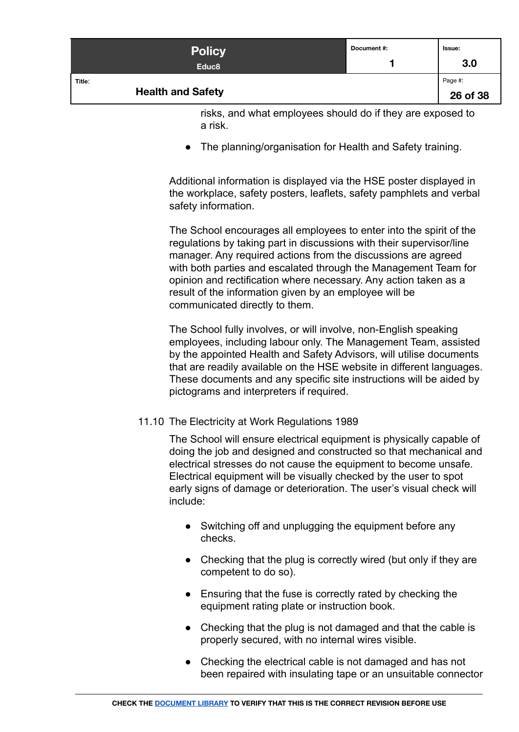| <b>Policy</b><br>Educ <sub>8</sub> | Document #: | <b>Issue:</b><br>3.0 |
|------------------------------------|-------------|----------------------|
| Title:<br><b>Health and Safety</b> |             | Page #:<br>26 of 38  |

risks, and what employees should do if they are exposed to a risk.

● The planning/organisation for Health and Safety training.

Additional information is displayed via the HSE poster displayed in the workplace, safety posters, leaflets, safety pamphlets and verbal safety information.

The School encourages all employees to enter into the spirit of the regulations by taking part in discussions with their supervisor/line manager. Any required actions from the discussions are agreed with both parties and escalated through the Management Team for opinion and rectification where necessary. Any action taken as a result of the information given by an employee will be communicated directly to them.

The School fully involves, or will involve, non-English speaking employees, including labour only. The Management Team, assisted by the appointed Health and Safety Advisors, will utilise documents that are readily available on the HSE website in different languages. These documents and any specific site instructions will be aided by pictograms and interpreters if required.

#### <span id="page-25-0"></span>11.10 The Electricity at Work Regulations 1989

The School will ensure electrical equipment is physically capable of doing the job and designed and constructed so that mechanical and electrical stresses do not cause the equipment to become unsafe. Electrical equipment will be visually checked by the user to spot early signs of damage or deterioration. The user's visual check will include:

- Switching off and unplugging the equipment before any checks.
- Checking that the plug is correctly wired (but only if they are competent to do so).
- Ensuring that the fuse is correctly rated by checking the equipment rating plate or instruction book.
- Checking that the plug is not damaged and that the cable is properly secured, with no internal wires visible.
- Checking the electrical cable is not damaged and has not been repaired with insulating tape or an unsuitable connector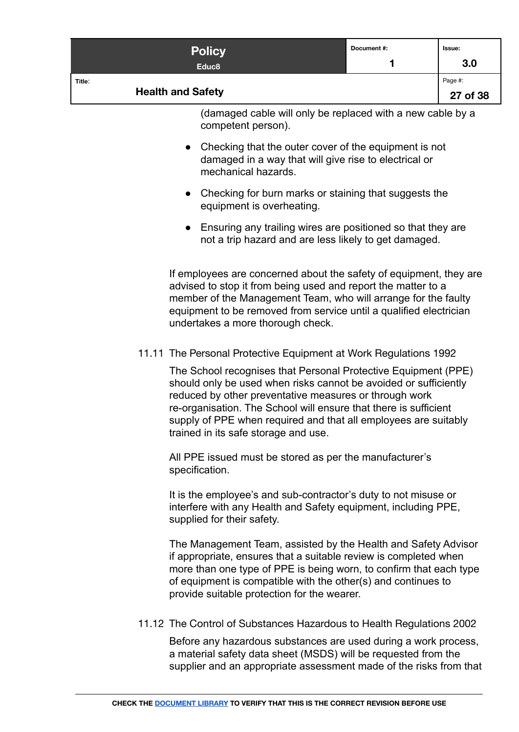<span id="page-26-1"></span><span id="page-26-0"></span>

|        | <b>Policy</b>                                                                                                                                                                                                                                                                                                                                                               | Document #: | Issue:              |
|--------|-----------------------------------------------------------------------------------------------------------------------------------------------------------------------------------------------------------------------------------------------------------------------------------------------------------------------------------------------------------------------------|-------------|---------------------|
|        | Educ <sub>8</sub>                                                                                                                                                                                                                                                                                                                                                           | 1           | 3.0                 |
| Title: | <b>Health and Safety</b>                                                                                                                                                                                                                                                                                                                                                    |             | Page #:<br>27 of 38 |
|        | (damaged cable will only be replaced with a new cable by a<br>competent person).                                                                                                                                                                                                                                                                                            |             |                     |
|        | Checking that the outer cover of the equipment is not<br>$\bullet$<br>damaged in a way that will give rise to electrical or<br>mechanical hazards.                                                                                                                                                                                                                          |             |                     |
|        | Checking for burn marks or staining that suggests the<br>$\bullet$<br>equipment is overheating.                                                                                                                                                                                                                                                                             |             |                     |
|        | Ensuring any trailing wires are positioned so that they are<br>$\bullet$<br>not a trip hazard and are less likely to get damaged.                                                                                                                                                                                                                                           |             |                     |
|        | If employees are concerned about the safety of equipment, they are<br>advised to stop it from being used and report the matter to a<br>member of the Management Team, who will arrange for the faulty<br>equipment to be removed from service until a qualified electrician<br>undertakes a more thorough check.                                                            |             |                     |
|        | 11.11 The Personal Protective Equipment at Work Regulations 1992                                                                                                                                                                                                                                                                                                            |             |                     |
|        | The School recognises that Personal Protective Equipment (PPE)<br>should only be used when risks cannot be avoided or sufficiently<br>reduced by other preventative measures or through work<br>re-organisation. The School will ensure that there is sufficient<br>supply of PPE when required and that all employees are suitably<br>trained in its safe storage and use. |             |                     |
|        | All PPE issued must be stored as per the manufacturer's<br>specification.                                                                                                                                                                                                                                                                                                   |             |                     |
|        | It is the employee's and sub-contractor's duty to not misuse or<br>interfere with any Health and Safety equipment, including PPE,<br>supplied for their safety.                                                                                                                                                                                                             |             |                     |
|        | The Management Team, assisted by the Health and Safety Advisor<br>if appropriate, ensures that a suitable review is completed when<br>more than one type of PPE is being worn, to confirm that each type<br>of equipment is compatible with the other(s) and continues to<br>provide suitable protection for the wearer.                                                    |             |                     |
|        | 11.12 The Control of Substances Hazardous to Health Regulations 2002                                                                                                                                                                                                                                                                                                        |             |                     |
|        | Before any hazardous substances are used during a work process,<br>a material safety data sheet (MSDS) will be requested from the<br>supplier and an appropriate assessment made of the risks from that                                                                                                                                                                     |             |                     |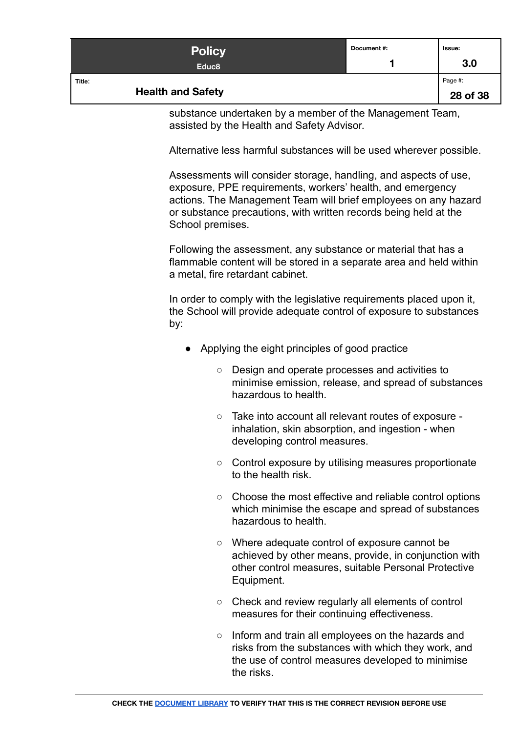| <b>Policy</b><br>Educ <sub>8</sub> | Document #: | <b>Issue:</b><br>3.0 |
|------------------------------------|-------------|----------------------|
| Title:<br><b>Health and Safety</b> |             | Page #:<br>28 of 38  |

substance undertaken by a member of the Management Team, assisted by the Health and Safety Advisor.

Alternative less harmful substances will be used wherever possible.

Assessments will consider storage, handling, and aspects of use, exposure, PPE requirements, workers' health, and emergency actions. The Management Team will brief employees on any hazard or substance precautions, with written records being held at the School premises.

Following the assessment, any substance or material that has a flammable content will be stored in a separate area and held within a metal, fire retardant cabinet.

In order to comply with the legislative requirements placed upon it, the School will provide adequate control of exposure to substances by:

- Applying the eight principles of good practice
	- Design and operate processes and activities to minimise emission, release, and spread of substances hazardous to health.
	- Take into account all relevant routes of exposure inhalation, skin absorption, and ingestion - when developing control measures.
	- Control exposure by utilising measures proportionate to the health risk.
	- Choose the most effective and reliable control options which minimise the escape and spread of substances hazardous to health.
	- Where adequate control of exposure cannot be achieved by other means, provide, in conjunction with other control measures, suitable Personal Protective Equipment.
	- Check and review regularly all elements of control measures for their continuing effectiveness.
	- Inform and train all employees on the hazards and risks from the substances with which they work, and the use of control measures developed to minimise the risks.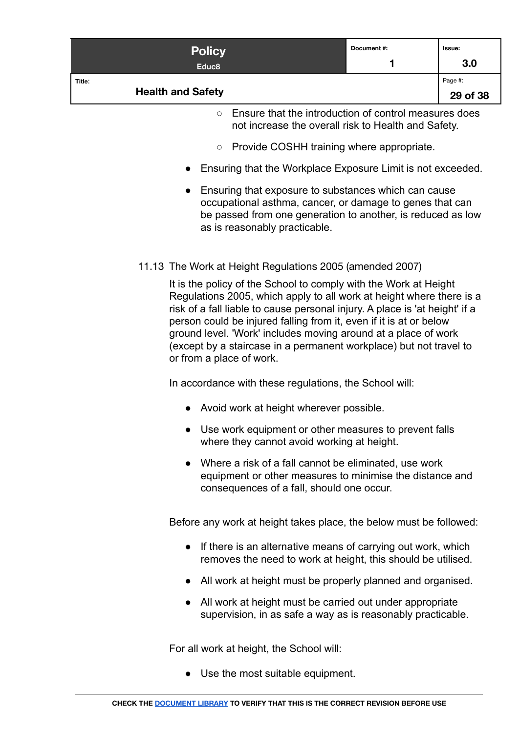|        | <b>Policy</b>            |                                                                                                              | Document#: | Issue:   |
|--------|--------------------------|--------------------------------------------------------------------------------------------------------------|------------|----------|
|        | Educ <sub>8</sub>        |                                                                                                              |            | 3.0      |
| Title: |                          |                                                                                                              |            | Page #:  |
|        | <b>Health and Safety</b> |                                                                                                              |            | 29 of 38 |
|        | $\circ$                  | Ensure that the introduction of control measures does<br>not increase the overall risk to Health and Safety. |            |          |

- Provide COSHH training where appropriate.
- Ensuring that the Workplace Exposure Limit is not exceeded.
- Ensuring that exposure to substances which can cause occupational asthma, cancer, or damage to genes that can be passed from one generation to another, is reduced as low as is reasonably practicable.
- <span id="page-28-0"></span>11.13 The Work at Height Regulations 2005 (amended 2007)

It is the policy of the School to comply with the Work at Height Regulations 2005, which apply to all work at height where there is a risk of a fall liable to cause personal injury. A place is 'at height' if a person could be injured falling from it, even if it is at or below ground level. 'Work' includes moving around at a place of work (except by a staircase in a permanent workplace) but not travel to or from a place of work.

In accordance with these regulations, the School will:

- Avoid work at height wherever possible.
- Use work equipment or other measures to prevent falls where they cannot avoid working at height.
- Where a risk of a fall cannot be eliminated, use work equipment or other measures to minimise the distance and consequences of a fall, should one occur.

Before any work at height takes place, the below must be followed:

- If there is an alternative means of carrying out work, which removes the need to work at height, this should be utilised.
- All work at height must be properly planned and organised.
- All work at height must be carried out under appropriate supervision, in as safe a way as is reasonably practicable.

For all work at height, the School will:

● Use the most suitable equipment.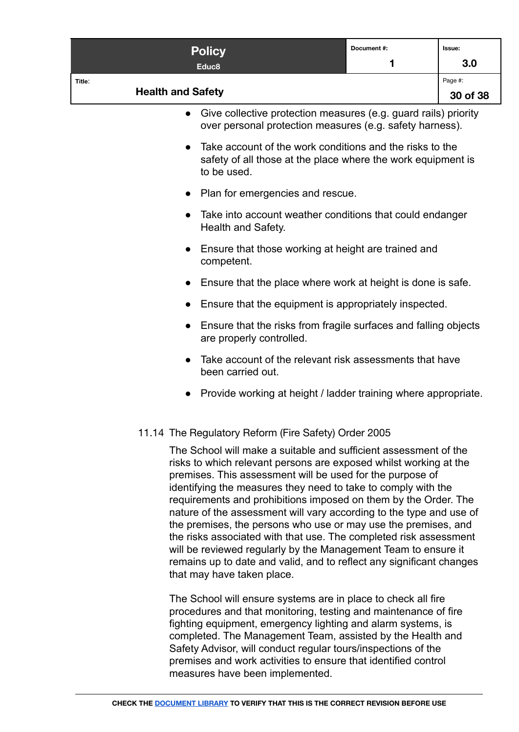| <b>Policy</b><br>Educ8                               |                                                                                | Document#:<br>1                                                                                                                       | Issue:<br>3.0       |
|------------------------------------------------------|--------------------------------------------------------------------------------|---------------------------------------------------------------------------------------------------------------------------------------|---------------------|
| Title:<br><b>Health and Safety</b>                   |                                                                                |                                                                                                                                       | Page #:<br>30 of 38 |
|                                                      |                                                                                | Give collective protection measures (e.g. guard rails) priority<br>over personal protection measures (e.g. safety harness).           |                     |
| to be used.                                          |                                                                                | Take account of the work conditions and the risks to the<br>safety of all those at the place where the work equipment is              |                     |
| $\bullet$                                            | Plan for emergencies and rescue.                                               |                                                                                                                                       |                     |
|                                                      | Take into account weather conditions that could endanger<br>Health and Safety. |                                                                                                                                       |                     |
| competent.                                           | Ensure that those working at height are trained and                            |                                                                                                                                       |                     |
| $\bullet$                                            |                                                                                | Ensure that the place where work at height is done is safe.                                                                           |                     |
| $\bullet$                                            | Ensure that the equipment is appropriately inspected.                          |                                                                                                                                       |                     |
| $\bullet$<br>are properly controlled.                |                                                                                | Ensure that the risks from fragile surfaces and falling objects                                                                       |                     |
| $\bullet$<br>been carried out.                       |                                                                                | Take account of the relevant risk assessments that have                                                                               |                     |
| $\bullet$                                            |                                                                                | Provide working at height / ladder training where appropriate.                                                                        |                     |
| 11.14 The Regulatory Reform (Fire Safety) Order 2005 |                                                                                |                                                                                                                                       |                     |
|                                                      |                                                                                | The School will make a suitable and sufficient assessment of the<br>risks to which relevant persons are exposed whilst working at the |                     |

<span id="page-29-0"></span>risks to which relevant persons are exposed whilst working at the premises. This assessment will be used for the purpose of identifying the measures they need to take to comply with the requirements and prohibitions imposed on them by the Order. The nature of the assessment will vary according to the type and use of the premises, the persons who use or may use the premises, and the risks associated with that use. The completed risk assessment will be reviewed regularly by the Management Team to ensure it remains up to date and valid, and to reflect any significant changes that may have taken place.

The School will ensure systems are in place to check all fire procedures and that monitoring, testing and maintenance of fire fighting equipment, emergency lighting and alarm systems, is completed. The Management Team, assisted by the Health and Safety Advisor, will conduct regular tours/inspections of the premises and work activities to ensure that identified control measures have been implemented.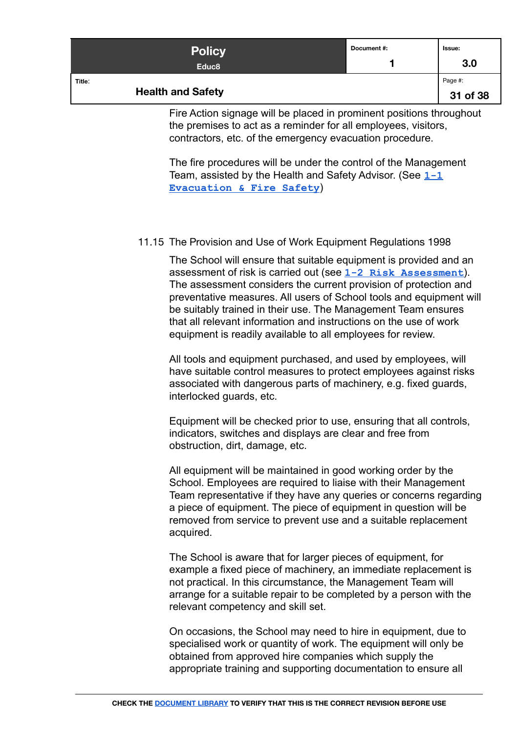| <b>Policy</b><br>Educ <sub>8</sub> | Document #: | Issue:<br>3.0       |
|------------------------------------|-------------|---------------------|
| Title:<br><b>Health and Safety</b> |             | Page #:<br>31 of 38 |

Fire Action signage will be placed in prominent positions throughout the premises to act as a reminder for all employees, visitors, contractors, etc. of the emergency evacuation procedure.

The fire procedures will be under the control of the Management Team, assisted by the Health and Safety Advisor. (See **[1-1](https://docs.google.com/document/d/1IEH_5hTqX_x_Fkn8tvuqq5f1MIq02snhOl0xGYZZ8gE/edit) [Evacuation & Fire Safety](https://docs.google.com/document/d/1IEH_5hTqX_x_Fkn8tvuqq5f1MIq02snhOl0xGYZZ8gE/edit)**)

#### <span id="page-30-0"></span>11.15 The Provision and Use of Work Equipment Regulations 1998

The School will ensure that suitable equipment is provided and an assessment of risk is carried out (see **[1-2 Risk Assessment](https://docs.google.com/document/d/1K8vk6PxRGoRL2LBITbachAGi_xuSEeMJ-MmXeO61NUc/edit#)**). The assessment considers the current provision of protection and preventative measures. All users of School tools and equipment will be suitably trained in their use. The Management Team ensures that all relevant information and instructions on the use of work equipment is readily available to all employees for review.

All tools and equipment purchased, and used by employees, will have suitable control measures to protect employees against risks associated with dangerous parts of machinery, e.g. fixed guards, interlocked guards, etc.

Equipment will be checked prior to use, ensuring that all controls, indicators, switches and displays are clear and free from obstruction, dirt, damage, etc.

All equipment will be maintained in good working order by the School. Employees are required to liaise with their Management Team representative if they have any queries or concerns regarding a piece of equipment. The piece of equipment in question will be removed from service to prevent use and a suitable replacement acquired.

The School is aware that for larger pieces of equipment, for example a fixed piece of machinery, an immediate replacement is not practical. In this circumstance, the Management Team will arrange for a suitable repair to be completed by a person with the relevant competency and skill set.

On occasions, the School may need to hire in equipment, due to specialised work or quantity of work. The equipment will only be obtained from approved hire companies which supply the appropriate training and supporting documentation to ensure all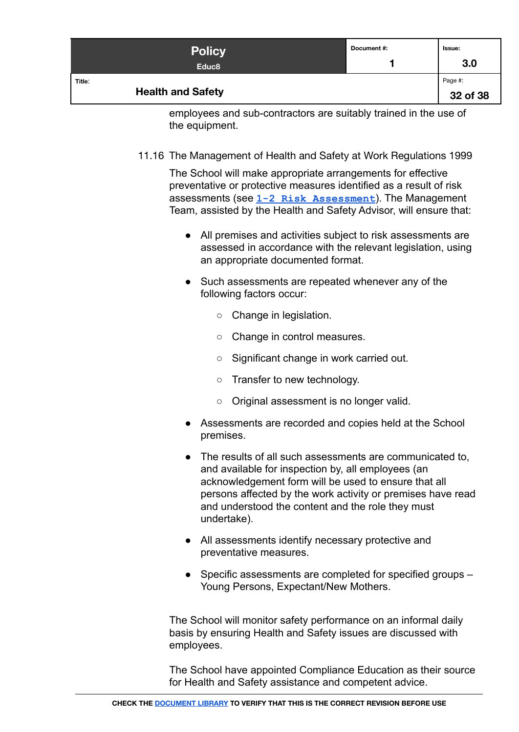| <b>Policy</b><br>Educ <sub>8</sub> | Document #: | Issue:<br>3.0       |
|------------------------------------|-------------|---------------------|
| Title:<br><b>Health and Safety</b> |             | Page #:<br>32 of 38 |

employees and sub-contractors are suitably trained in the use of the equipment.

<span id="page-31-0"></span>11.16 The Management of Health and Safety at Work Regulations 1999

The School will make appropriate arrangements for effective preventative or protective measures identified as a result of risk assessments (see **[1-2 Risk Assessment](https://docs.google.com/document/d/1K8vk6PxRGoRL2LBITbachAGi_xuSEeMJ-MmXeO61NUc/edit#)**). The Management Team, assisted by the Health and Safety Advisor, will ensure that:

- All premises and activities subject to risk assessments are assessed in accordance with the relevant legislation, using an appropriate documented format.
- Such assessments are repeated whenever any of the following factors occur:
	- Change in legislation.
	- Change in control measures.
	- Significant change in work carried out.
	- Transfer to new technology.
	- Original assessment is no longer valid.
- Assessments are recorded and copies held at the School premises.
- The results of all such assessments are communicated to, and available for inspection by, all employees (an acknowledgement form will be used to ensure that all persons affected by the work activity or premises have read and understood the content and the role they must undertake).
- All assessments identify necessary protective and preventative measures.
- Specific assessments are completed for specified groups Young Persons, Expectant/New Mothers.

The School will monitor safety performance on an informal daily basis by ensuring Health and Safety issues are discussed with employees.

The School have appointed Compliance Education as their source for Health and Safety assistance and competent advice.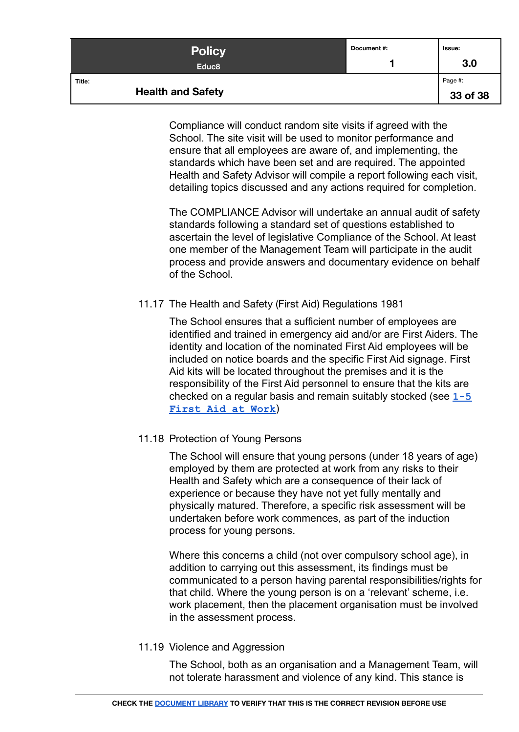| <b>Policy</b><br>Educ <sub>8</sub> | Document#: | Issue:<br>3.0       |
|------------------------------------|------------|---------------------|
| Title:<br><b>Health and Safety</b> |            | Page #:<br>33 of 38 |

Compliance will conduct random site visits if agreed with the School. The site visit will be used to monitor performance and ensure that all employees are aware of, and implementing, the standards which have been set and are required. The appointed Health and Safety Advisor will compile a report following each visit, detailing topics discussed and any actions required for completion.

The COMPLIANCE Advisor will undertake an annual audit of safety standards following a standard set of questions established to ascertain the level of legislative Compliance of the School. At least one member of the Management Team will participate in the audit process and provide answers and documentary evidence on behalf of the School.

# <span id="page-32-0"></span>11.17 The Health and Safety (First Aid) Regulations 1981

The School ensures that a sufficient number of employees are identified and trained in emergency aid and/or are First Aiders. The identity and location of the nominated First Aid employees will be included on notice boards and the specific First Aid signage. First Aid kits will be located throughout the premises and it is the responsibility of the First Aid personnel to ensure that the kits are checked on a regular basis and remain suitably stocked (see **[1-5](https://docs.google.com/document/d/1giXbRsoovHll_7xntrRqRQ5FvcErXCIJR9iLZzg0teg/edit) [First Aid at Work](https://docs.google.com/document/d/1giXbRsoovHll_7xntrRqRQ5FvcErXCIJR9iLZzg0teg/edit)**)

# <span id="page-32-1"></span>11.18 Protection of Young Persons

The School will ensure that young persons (under 18 years of age) employed by them are protected at work from any risks to their Health and Safety which are a consequence of their lack of experience or because they have not yet fully mentally and physically matured. Therefore, a specific risk assessment will be undertaken before work commences, as part of the induction process for young persons.

Where this concerns a child (not over compulsory school age), in addition to carrying out this assessment, its findings must be communicated to a person having parental responsibilities/rights for that child. Where the young person is on a 'relevant' scheme, i.e. work placement, then the placement organisation must be involved in the assessment process.

# <span id="page-32-2"></span>11.19 Violence and Aggression

The School, both as an organisation and a Management Team, will not tolerate harassment and violence of any kind. This stance is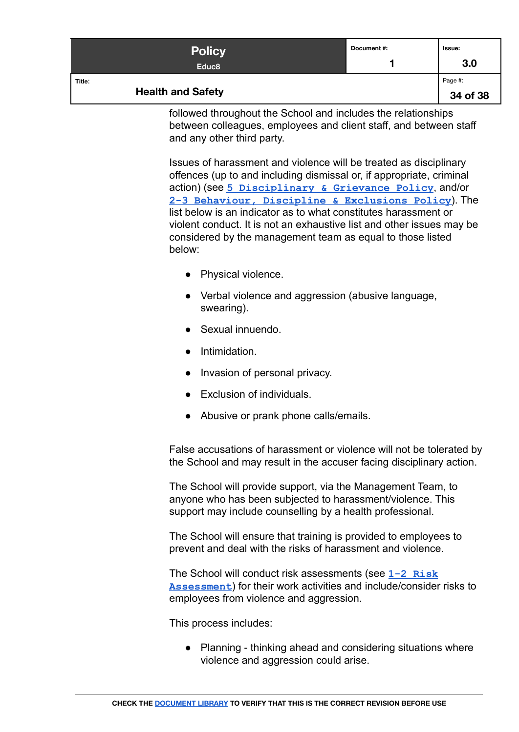| <b>Policy</b><br>Educ <sub>8</sub> | Document #: | Issue:<br>3.0       |
|------------------------------------|-------------|---------------------|
| Title:<br><b>Health and Safety</b> |             | Page #:<br>34 of 38 |

followed throughout the School and includes the relationships between colleagues, employees and client staff, and between staff and any other third party.

Issues of harassment and violence will be treated as disciplinary offences (up to and including dismissal or, if appropriate, criminal action) (see **[5 Disciplinary & Grievance Policy](https://docs.google.com/document/d/1ncRpdx8FEpCHTsbojPIg3uESvGOMdBL_D4pkK6oH4T8)**, and/or **[2-3 Behaviour, Discipline & Exclusions Policy](https://docs.google.com/document/d/1IMYqQsiEMyHg_ggEvn7IoS_g30V32pa2nM_U3fJImdc/edit)**). The list below is an indicator as to what constitutes harassment or violent conduct. It is not an exhaustive list and other issues may be considered by the management team as equal to those listed below:

- Physical violence.
- Verbal violence and aggression (abusive language, swearing).
- Sexual innuendo.
- Intimidation.
- Invasion of personal privacy.
- Exclusion of individuals.
- Abusive or prank phone calls/emails.

False accusations of harassment or violence will not be tolerated by the School and may result in the accuser facing disciplinary action.

The School will provide support, via the Management Team, to anyone who has been subjected to harassment/violence. This support may include counselling by a health professional.

The School will ensure that training is provided to employees to prevent and deal with the risks of harassment and violence.

The School will conduct risk assessments (see **1-2 [Risk](https://docs.google.com/document/d/1K8vk6PxRGoRL2LBITbachAGi_xuSEeMJ-MmXeO61NUc/edit#) [Assessment](https://docs.google.com/document/d/1K8vk6PxRGoRL2LBITbachAGi_xuSEeMJ-MmXeO61NUc/edit#)**) for their work activities and include/consider risks to employees from violence and aggression.

This process includes:

● Planning - thinking ahead and considering situations where violence and aggression could arise.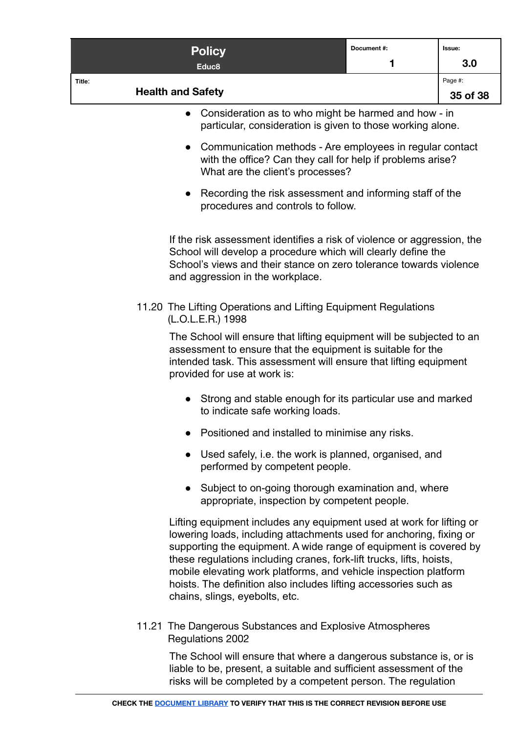<span id="page-34-0"></span>

|        | <b>Policy</b>                                                                                                                                                                                                                                                                                                                                                                                                                                                      | Document#: | Issue:              |
|--------|--------------------------------------------------------------------------------------------------------------------------------------------------------------------------------------------------------------------------------------------------------------------------------------------------------------------------------------------------------------------------------------------------------------------------------------------------------------------|------------|---------------------|
|        | Educ <sub>8</sub>                                                                                                                                                                                                                                                                                                                                                                                                                                                  | 1          | 3.0                 |
| Title: | <b>Health and Safety</b>                                                                                                                                                                                                                                                                                                                                                                                                                                           |            | Page #:<br>35 of 38 |
|        | Consideration as to who might be harmed and how - in<br>$\bullet$<br>particular, consideration is given to those working alone.                                                                                                                                                                                                                                                                                                                                    |            |                     |
|        | Communication methods - Are employees in regular contact<br>$\bullet$<br>with the office? Can they call for help if problems arise?<br>What are the client's processes?                                                                                                                                                                                                                                                                                            |            |                     |
|        | Recording the risk assessment and informing staff of the<br>$\bullet$<br>procedures and controls to follow.                                                                                                                                                                                                                                                                                                                                                        |            |                     |
|        | If the risk assessment identifies a risk of violence or aggression, the<br>School will develop a procedure which will clearly define the<br>School's views and their stance on zero tolerance towards violence<br>and aggression in the workplace.                                                                                                                                                                                                                 |            |                     |
|        | 11.20 The Lifting Operations and Lifting Equipment Regulations<br>(L.O.L.E.R.) 1998                                                                                                                                                                                                                                                                                                                                                                                |            |                     |
|        | The School will ensure that lifting equipment will be subjected to an<br>assessment to ensure that the equipment is suitable for the<br>intended task. This assessment will ensure that lifting equipment<br>provided for use at work is:                                                                                                                                                                                                                          |            |                     |
|        | Strong and stable enough for its particular use and marked<br>$\bullet$<br>to indicate safe working loads.                                                                                                                                                                                                                                                                                                                                                         |            |                     |
|        | Positioned and installed to minimise any risks.                                                                                                                                                                                                                                                                                                                                                                                                                    |            |                     |
|        | Used safely, i.e. the work is planned, organised, and<br>$\bullet$<br>performed by competent people.                                                                                                                                                                                                                                                                                                                                                               |            |                     |
|        | Subject to on-going thorough examination and, where<br>$\bullet$<br>appropriate, inspection by competent people.                                                                                                                                                                                                                                                                                                                                                   |            |                     |
|        | Lifting equipment includes any equipment used at work for lifting or<br>lowering loads, including attachments used for anchoring, fixing or<br>supporting the equipment. A wide range of equipment is covered by<br>these regulations including cranes, fork-lift trucks, lifts, hoists,<br>mobile elevating work platforms, and vehicle inspection platform<br>hoists. The definition also includes lifting accessories such as<br>chains, slings, eyebolts, etc. |            |                     |
|        | 11.21 The Dangerous Substances and Explosive Atmospheres<br>Regulations 2002                                                                                                                                                                                                                                                                                                                                                                                       |            |                     |

<span id="page-34-1"></span>The School will ensure that where a dangerous substance is, or is liable to be, present, a suitable and sufficient assessment of the risks will be completed by a competent person. The regulation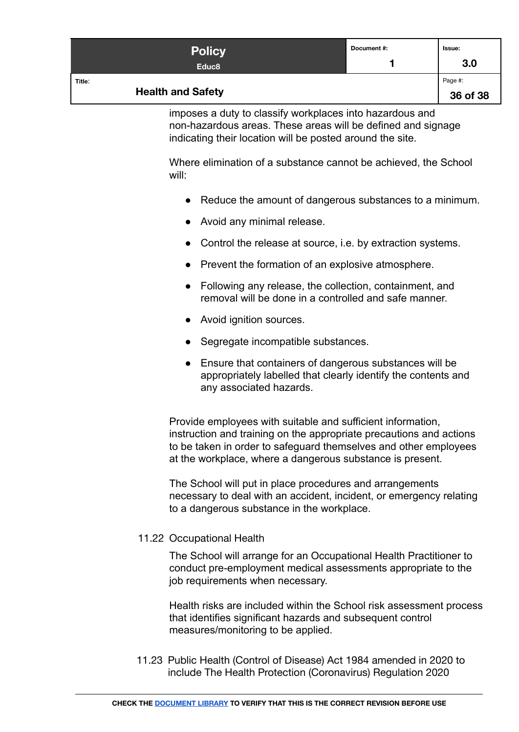| <b>Policy</b><br>Educ <sub>8</sub> | Document#: | Issue:<br>3.0       |
|------------------------------------|------------|---------------------|
| Title:<br><b>Health and Safety</b> |            | Page #:<br>36 of 38 |

imposes a duty to classify workplaces into hazardous and non-hazardous areas. These areas will be defined and signage indicating their location will be posted around the site.

Where elimination of a substance cannot be achieved, the School will:

- Reduce the amount of dangerous substances to a minimum.
- Avoid any minimal release.
- Control the release at source, i.e. by extraction systems.
- Prevent the formation of an explosive atmosphere.
- Following any release, the collection, containment, and removal will be done in a controlled and safe manner.
- Avoid ignition sources.
- Segregate incompatible substances.
- Ensure that containers of dangerous substances will be appropriately labelled that clearly identify the contents and any associated hazards.

Provide employees with suitable and sufficient information, instruction and training on the appropriate precautions and actions to be taken in order to safeguard themselves and other employees at the workplace, where a dangerous substance is present.

The School will put in place procedures and arrangements necessary to deal with an accident, incident, or emergency relating to a dangerous substance in the workplace.

#### <span id="page-35-0"></span>11.22 Occupational Health

The School will arrange for an Occupational Health Practitioner to conduct pre-employment medical assessments appropriate to the job requirements when necessary.

Health risks are included within the School risk assessment process that identifies significant hazards and subsequent control measures/monitoring to be applied.

<span id="page-35-1"></span>11.23 Public Health (Control of Disease) Act 1984 amended in 2020 to include The Health Protection (Coronavirus) Regulation 2020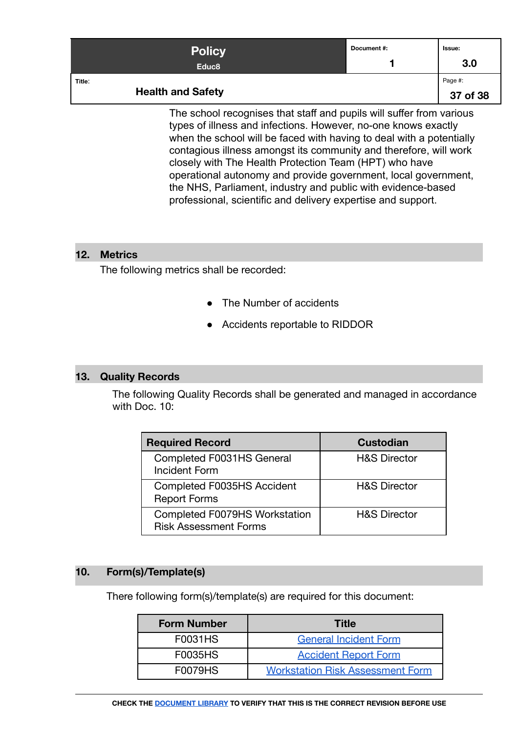|                                                                      | <b>Policy</b><br>Educ <sub>8</sub> | Document #:         | Issue:<br>3.0 |
|----------------------------------------------------------------------|------------------------------------|---------------------|---------------|
| Title:<br><b>Health and Safety</b>                                   |                                    | Page #:<br>37 of 38 |               |
| The school recognises that staff and pupils will suffer from various |                                    |                     |               |

 $\mathop{\mathsf{pol}}\nolimits$  recognises that staff and pupils will suffer from  $\mathop{\mathsf{co}}\nolimits$ types of illness and infections. However, no-one knows exactly when the school will be faced with having to deal with a potentially contagious illness amongst its community and therefore, will work closely with The Health Protection Team (HPT) who have operational autonomy and provide government, local government, the NHS, Parliament, industry and public with evidence-based professional, scientific and delivery expertise and support.

#### <span id="page-36-0"></span>**12. Metrics**

The following metrics shall be recorded:

- The Number of accidents
- Accidents reportable to RIDDOR

#### <span id="page-36-1"></span>**13. Quality Records**

The following Quality Records shall be generated and managed in accordance with Doc. 10:

| <b>Required Record</b>                                        | <b>Custodian</b>        |
|---------------------------------------------------------------|-------------------------|
| Completed F0031HS General<br><b>Incident Form</b>             | <b>H&amp;S Director</b> |
| Completed F0035HS Accident<br><b>Report Forms</b>             | <b>H&amp;S Director</b> |
| Completed F0079HS Workstation<br><b>Risk Assessment Forms</b> | <b>H&amp;S Director</b> |

#### **10. Form(s)/Template(s)**

There following form(s)/template(s) are required for this document:

| <b>Form Number</b> | <b>Title</b>                            |
|--------------------|-----------------------------------------|
| F0031HS            | <b>General Incident Form</b>            |
| <b>F0035HS</b>     | <b>Accident Report Form</b>             |
| <b>F0079HS</b>     | <b>Workstation Risk Assessment Form</b> |